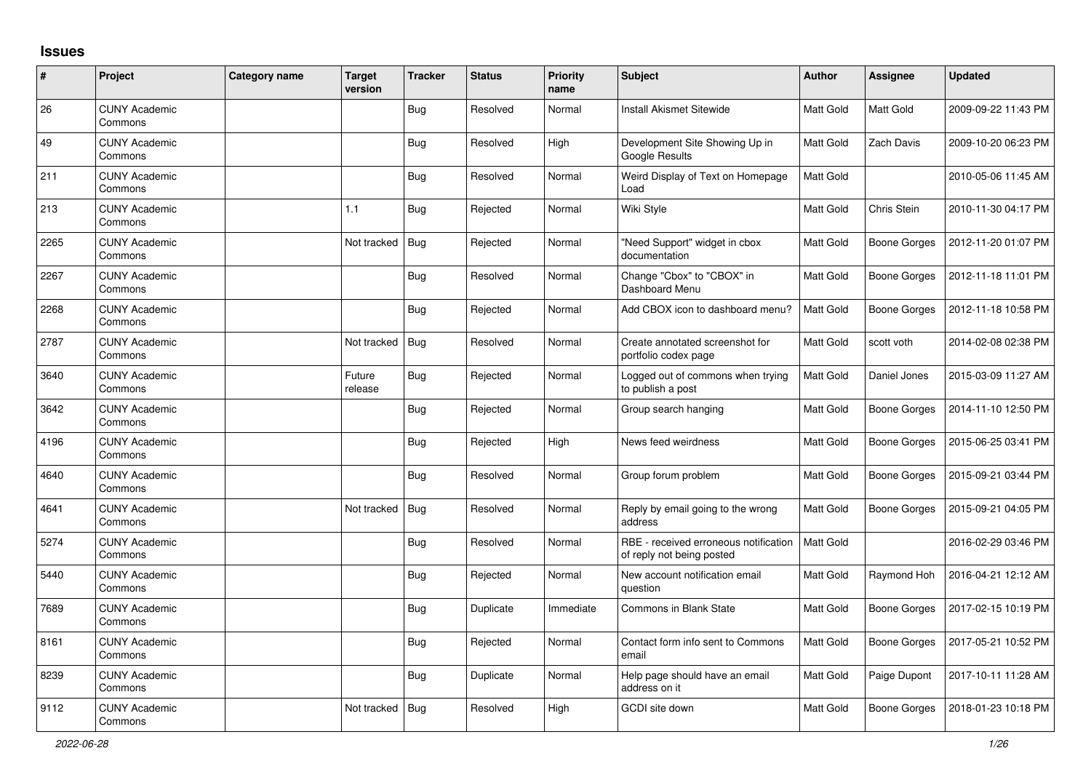## **Issues**

| $\sharp$ | Project                         | <b>Category name</b> | <b>Target</b><br>version | <b>Tracker</b> | <b>Status</b> | <b>Priority</b><br>name | <b>Subject</b>                                                     | <b>Author</b> | <b>Assignee</b>     | Updated             |
|----------|---------------------------------|----------------------|--------------------------|----------------|---------------|-------------------------|--------------------------------------------------------------------|---------------|---------------------|---------------------|
| 26       | <b>CUNY Academic</b><br>Commons |                      |                          | Bug            | Resolved      | Normal                  | <b>Install Akismet Sitewide</b>                                    | Matt Gold     | Matt Gold           | 2009-09-22 11:43 PM |
| 49       | <b>CUNY Academic</b><br>Commons |                      |                          | Bug            | Resolved      | High                    | Development Site Showing Up in<br>Google Results                   | Matt Gold     | Zach Davis          | 2009-10-20 06:23 PM |
| 211      | <b>CUNY Academic</b><br>Commons |                      |                          | <b>Bug</b>     | Resolved      | Normal                  | Weird Display of Text on Homepage<br>Load                          | Matt Gold     |                     | 2010-05-06 11:45 AM |
| 213      | <b>CUNY Academic</b><br>Commons |                      | 1.1                      | <b>Bug</b>     | Rejected      | Normal                  | Wiki Style                                                         | Matt Gold     | Chris Stein         | 2010-11-30 04:17 PM |
| 2265     | <b>CUNY Academic</b><br>Commons |                      | Not tracked              | <b>Bug</b>     | Rejected      | Normal                  | "Need Support" widget in cbox<br>documentation                     | Matt Gold     | <b>Boone Gorges</b> | 2012-11-20 01:07 PM |
| 2267     | <b>CUNY Academic</b><br>Commons |                      |                          | Bug            | Resolved      | Normal                  | Change "Cbox" to "CBOX" in<br>Dashboard Menu                       | Matt Gold     | <b>Boone Gorges</b> | 2012-11-18 11:01 PM |
| 2268     | <b>CUNY Academic</b><br>Commons |                      |                          | <b>Bug</b>     | Rejected      | Normal                  | Add CBOX icon to dashboard menu?                                   | Matt Gold     | <b>Boone Gorges</b> | 2012-11-18 10:58 PM |
| 2787     | <b>CUNY Academic</b><br>Commons |                      | Not tracked              | Bug            | Resolved      | Normal                  | Create annotated screenshot for<br>portfolio codex page            | Matt Gold     | scott voth          | 2014-02-08 02:38 PM |
| 3640     | <b>CUNY Academic</b><br>Commons |                      | Future<br>release        | <b>Bug</b>     | Rejected      | Normal                  | Logged out of commons when trying<br>to publish a post             | Matt Gold     | Daniel Jones        | 2015-03-09 11:27 AM |
| 3642     | <b>CUNY Academic</b><br>Commons |                      |                          | Bug            | Rejected      | Normal                  | Group search hanging                                               | Matt Gold     | Boone Gorges        | 2014-11-10 12:50 PM |
| 4196     | <b>CUNY Academic</b><br>Commons |                      |                          | <b>Bug</b>     | Rejected      | High                    | News feed weirdness                                                | Matt Gold     | Boone Gorges        | 2015-06-25 03:41 PM |
| 4640     | <b>CUNY Academic</b><br>Commons |                      |                          | Bug            | Resolved      | Normal                  | Group forum problem                                                | Matt Gold     | Boone Gorges        | 2015-09-21 03:44 PM |
| 4641     | <b>CUNY Academic</b><br>Commons |                      | Not tracked              | <b>Bug</b>     | Resolved      | Normal                  | Reply by email going to the wrong<br>address                       | Matt Gold     | <b>Boone Gorges</b> | 2015-09-21 04:05 PM |
| 5274     | <b>CUNY Academic</b><br>Commons |                      |                          | <b>Bug</b>     | Resolved      | Normal                  | RBE - received erroneous notification<br>of reply not being posted | Matt Gold     |                     | 2016-02-29 03:46 PM |
| 5440     | <b>CUNY Academic</b><br>Commons |                      |                          | <b>Bug</b>     | Rejected      | Normal                  | New account notification email<br>question                         | Matt Gold     | Raymond Hoh         | 2016-04-21 12:12 AM |
| 7689     | <b>CUNY Academic</b><br>Commons |                      |                          | Bug            | Duplicate     | Immediate               | Commons in Blank State                                             | Matt Gold     | Boone Gorges        | 2017-02-15 10:19 PM |
| 8161     | <b>CUNY Academic</b><br>Commons |                      |                          | <b>Bug</b>     | Rejected      | Normal                  | Contact form info sent to Commons<br>email                         | Matt Gold     | <b>Boone Gorges</b> | 2017-05-21 10:52 PM |
| 8239     | <b>CUNY Academic</b><br>Commons |                      |                          | <b>Bug</b>     | Duplicate     | Normal                  | Help page should have an email<br>address on it                    | Matt Gold     | Paige Dupont        | 2017-10-11 11:28 AM |
| 9112     | <b>CUNY Academic</b><br>Commons |                      | Not tracked              | Bug            | Resolved      | High                    | GCDI site down                                                     | Matt Gold     | Boone Gorges        | 2018-01-23 10:18 PM |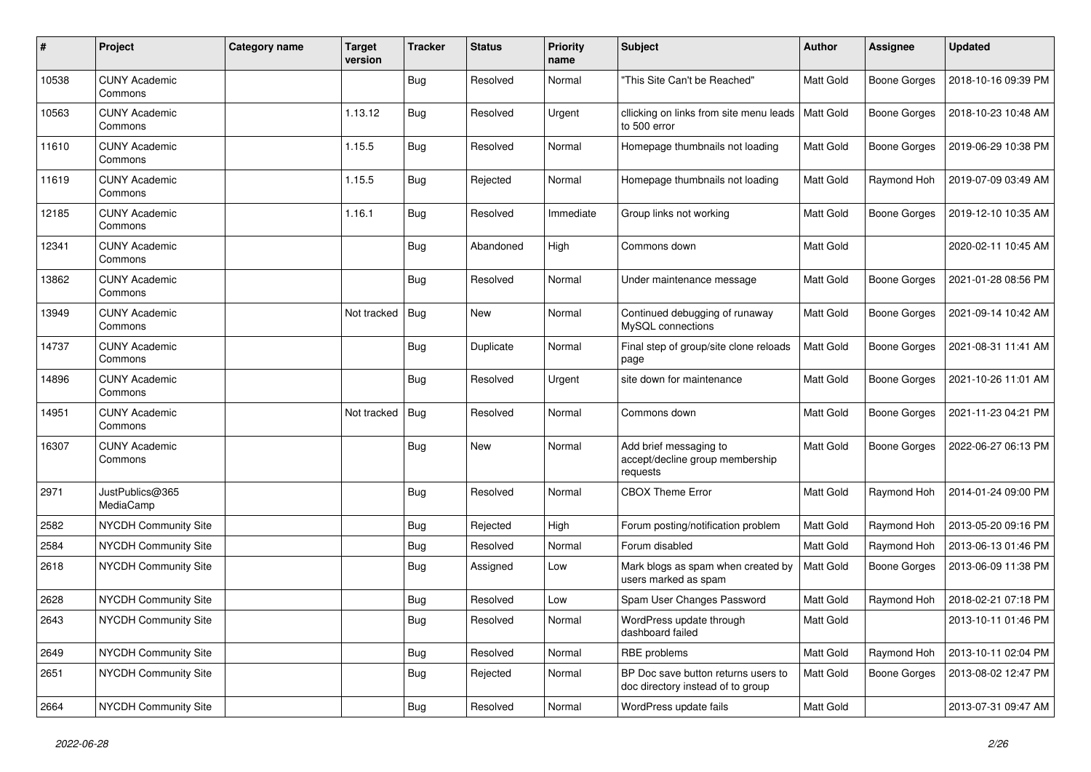| $\#$  | Project                         | <b>Category name</b> | <b>Target</b><br>version | <b>Tracker</b> | <b>Status</b> | <b>Priority</b><br>name | <b>Subject</b>                                                           | <b>Author</b> | Assignee            | <b>Updated</b>      |
|-------|---------------------------------|----------------------|--------------------------|----------------|---------------|-------------------------|--------------------------------------------------------------------------|---------------|---------------------|---------------------|
| 10538 | <b>CUNY Academic</b><br>Commons |                      |                          | <b>Bug</b>     | Resolved      | Normal                  | "This Site Can't be Reached"                                             | Matt Gold     | <b>Boone Gorges</b> | 2018-10-16 09:39 PM |
| 10563 | <b>CUNY Academic</b><br>Commons |                      | 1.13.12                  | <b>Bug</b>     | Resolved      | Urgent                  | cllicking on links from site menu leads<br>to 500 error                  | Matt Gold     | <b>Boone Gorges</b> | 2018-10-23 10:48 AM |
| 11610 | <b>CUNY Academic</b><br>Commons |                      | 1.15.5                   | <b>Bug</b>     | Resolved      | Normal                  | Homepage thumbnails not loading                                          | Matt Gold     | <b>Boone Gorges</b> | 2019-06-29 10:38 PM |
| 11619 | <b>CUNY Academic</b><br>Commons |                      | 1.15.5                   | Bug            | Rejected      | Normal                  | Homepage thumbnails not loading                                          | Matt Gold     | Raymond Hoh         | 2019-07-09 03:49 AM |
| 12185 | <b>CUNY Academic</b><br>Commons |                      | 1.16.1                   | <b>Bug</b>     | Resolved      | Immediate               | Group links not working                                                  | Matt Gold     | <b>Boone Gorges</b> | 2019-12-10 10:35 AM |
| 12341 | <b>CUNY Academic</b><br>Commons |                      |                          | <b>Bug</b>     | Abandoned     | High                    | Commons down                                                             | Matt Gold     |                     | 2020-02-11 10:45 AM |
| 13862 | <b>CUNY Academic</b><br>Commons |                      |                          | <b>Bug</b>     | Resolved      | Normal                  | Under maintenance message                                                | Matt Gold     | <b>Boone Gorges</b> | 2021-01-28 08:56 PM |
| 13949 | <b>CUNY Academic</b><br>Commons |                      | Not tracked   Bug        |                | <b>New</b>    | Normal                  | Continued debugging of runaway<br>MySQL connections                      | Matt Gold     | <b>Boone Gorges</b> | 2021-09-14 10:42 AM |
| 14737 | <b>CUNY Academic</b><br>Commons |                      |                          | <b>Bug</b>     | Duplicate     | Normal                  | Final step of group/site clone reloads<br>page                           | Matt Gold     | <b>Boone Gorges</b> | 2021-08-31 11:41 AM |
| 14896 | <b>CUNY Academic</b><br>Commons |                      |                          | Bug            | Resolved      | Urgent                  | site down for maintenance                                                | Matt Gold     | <b>Boone Gorges</b> | 2021-10-26 11:01 AM |
| 14951 | <b>CUNY Academic</b><br>Commons |                      | Not tracked              | Bug            | Resolved      | Normal                  | Commons down                                                             | Matt Gold     | <b>Boone Gorges</b> | 2021-11-23 04:21 PM |
| 16307 | <b>CUNY Academic</b><br>Commons |                      |                          | Bug            | <b>New</b>    | Normal                  | Add brief messaging to<br>accept/decline group membership<br>requests    | Matt Gold     | <b>Boone Gorges</b> | 2022-06-27 06:13 PM |
| 2971  | JustPublics@365<br>MediaCamp    |                      |                          | Bug            | Resolved      | Normal                  | <b>CBOX Theme Error</b>                                                  | Matt Gold     | Raymond Hoh         | 2014-01-24 09:00 PM |
| 2582  | NYCDH Community Site            |                      |                          | <b>Bug</b>     | Rejected      | High                    | Forum posting/notification problem                                       | Matt Gold     | Raymond Hoh         | 2013-05-20 09:16 PM |
| 2584  | NYCDH Community Site            |                      |                          | Bug            | Resolved      | Normal                  | Forum disabled                                                           | Matt Gold     | Raymond Hoh         | 2013-06-13 01:46 PM |
| 2618  | NYCDH Community Site            |                      |                          | Bug            | Assigned      | Low                     | Mark blogs as spam when created by<br>users marked as spam               | Matt Gold     | Boone Gorges        | 2013-06-09 11:38 PM |
| 2628  | NYCDH Community Site            |                      |                          | <b>Bug</b>     | Resolved      | Low                     | Spam User Changes Password                                               | Matt Gold     | Raymond Hoh         | 2018-02-21 07:18 PM |
| 2643  | NYCDH Community Site            |                      |                          | Bug            | Resolved      | Normal                  | WordPress update through<br>dashboard failed                             | Matt Gold     |                     | 2013-10-11 01:46 PM |
| 2649  | NYCDH Community Site            |                      |                          | Bug            | Resolved      | Normal                  | RBE problems                                                             | Matt Gold     | Raymond Hoh         | 2013-10-11 02:04 PM |
| 2651  | NYCDH Community Site            |                      |                          | <b>Bug</b>     | Rejected      | Normal                  | BP Doc save button returns users to<br>doc directory instead of to group | Matt Gold     | <b>Boone Gorges</b> | 2013-08-02 12:47 PM |
| 2664  | NYCDH Community Site            |                      |                          | <b>Bug</b>     | Resolved      | Normal                  | WordPress update fails                                                   | Matt Gold     |                     | 2013-07-31 09:47 AM |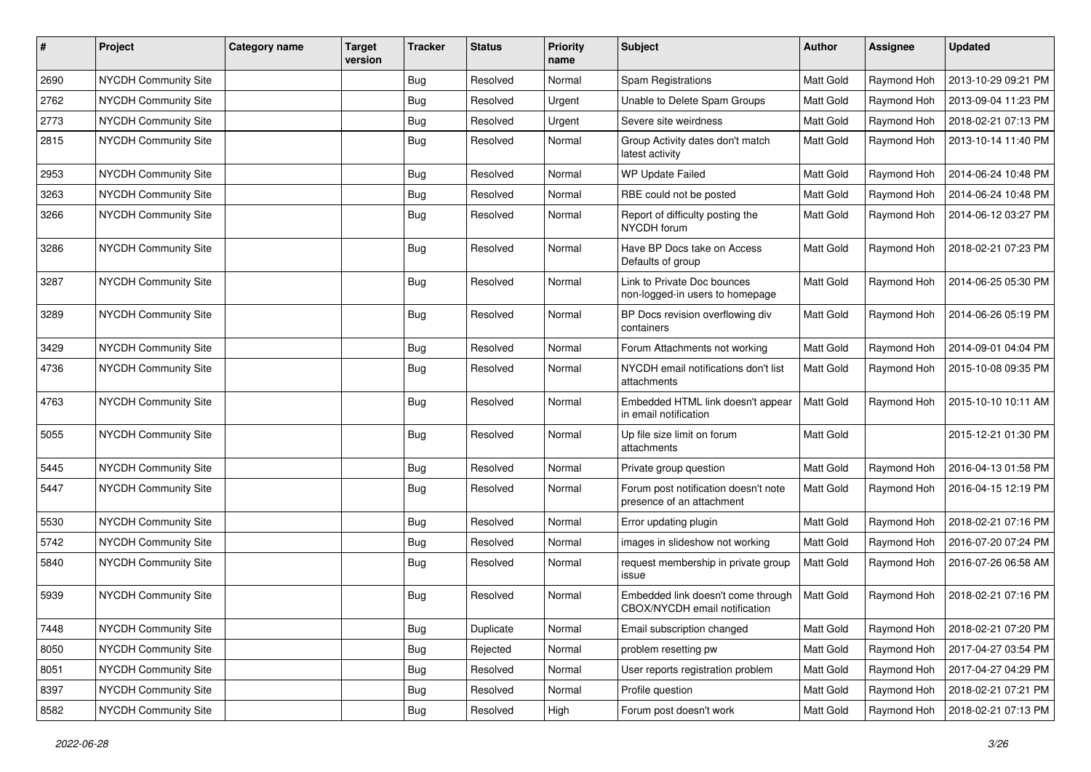| $\sharp$ | Project                     | <b>Category name</b> | <b>Target</b><br>version | <b>Tracker</b> | <b>Status</b> | <b>Priority</b><br>name | <b>Subject</b>                                                      | Author           | Assignee    | <b>Updated</b>      |
|----------|-----------------------------|----------------------|--------------------------|----------------|---------------|-------------------------|---------------------------------------------------------------------|------------------|-------------|---------------------|
| 2690     | NYCDH Community Site        |                      |                          | Bug            | Resolved      | Normal                  | Spam Registrations                                                  | Matt Gold        | Raymond Hoh | 2013-10-29 09:21 PM |
| 2762     | NYCDH Community Site        |                      |                          | <b>Bug</b>     | Resolved      | Urgent                  | Unable to Delete Spam Groups                                        | Matt Gold        | Raymond Hoh | 2013-09-04 11:23 PM |
| 2773     | NYCDH Community Site        |                      |                          | <b>Bug</b>     | Resolved      | Urgent                  | Severe site weirdness                                               | Matt Gold        | Raymond Hoh | 2018-02-21 07:13 PM |
| 2815     | NYCDH Community Site        |                      |                          | <b>Bug</b>     | Resolved      | Normal                  | Group Activity dates don't match<br>latest activity                 | Matt Gold        | Raymond Hoh | 2013-10-14 11:40 PM |
| 2953     | <b>NYCDH Community Site</b> |                      |                          | <b>Bug</b>     | Resolved      | Normal                  | WP Update Failed                                                    | Matt Gold        | Raymond Hoh | 2014-06-24 10:48 PM |
| 3263     | NYCDH Community Site        |                      |                          | Bug            | Resolved      | Normal                  | RBE could not be posted                                             | Matt Gold        | Raymond Hoh | 2014-06-24 10:48 PM |
| 3266     | NYCDH Community Site        |                      |                          | <b>Bug</b>     | Resolved      | Normal                  | Report of difficulty posting the<br>NYCDH forum                     | Matt Gold        | Raymond Hoh | 2014-06-12 03:27 PM |
| 3286     | NYCDH Community Site        |                      |                          | Bug            | Resolved      | Normal                  | Have BP Docs take on Access<br>Defaults of group                    | Matt Gold        | Raymond Hoh | 2018-02-21 07:23 PM |
| 3287     | NYCDH Community Site        |                      |                          | Bug            | Resolved      | Normal                  | Link to Private Doc bounces<br>non-logged-in users to homepage      | Matt Gold        | Raymond Hoh | 2014-06-25 05:30 PM |
| 3289     | NYCDH Community Site        |                      |                          | Bug            | Resolved      | Normal                  | BP Docs revision overflowing div<br>containers                      | Matt Gold        | Raymond Hoh | 2014-06-26 05:19 PM |
| 3429     | NYCDH Community Site        |                      |                          | <b>Bug</b>     | Resolved      | Normal                  | Forum Attachments not working                                       | Matt Gold        | Raymond Hoh | 2014-09-01 04:04 PM |
| 4736     | NYCDH Community Site        |                      |                          | <b>Bug</b>     | Resolved      | Normal                  | NYCDH email notifications don't list<br>attachments                 | <b>Matt Gold</b> | Raymond Hoh | 2015-10-08 09:35 PM |
| 4763     | NYCDH Community Site        |                      |                          | Bug            | Resolved      | Normal                  | Embedded HTML link doesn't appear<br>in email notification          | Matt Gold        | Raymond Hoh | 2015-10-10 10:11 AM |
| 5055     | NYCDH Community Site        |                      |                          | Bug            | Resolved      | Normal                  | Up file size limit on forum<br>attachments                          | Matt Gold        |             | 2015-12-21 01:30 PM |
| 5445     | NYCDH Community Site        |                      |                          | Bug            | Resolved      | Normal                  | Private group question                                              | Matt Gold        | Raymond Hoh | 2016-04-13 01:58 PM |
| 5447     | <b>NYCDH Community Site</b> |                      |                          | <b>Bug</b>     | Resolved      | Normal                  | Forum post notification doesn't note<br>presence of an attachment   | Matt Gold        | Raymond Hoh | 2016-04-15 12:19 PM |
| 5530     | NYCDH Community Site        |                      |                          | Bug            | Resolved      | Normal                  | Error updating plugin                                               | Matt Gold        | Raymond Hoh | 2018-02-21 07:16 PM |
| 5742     | <b>NYCDH Community Site</b> |                      |                          | Bug            | Resolved      | Normal                  | images in slideshow not working                                     | Matt Gold        | Raymond Hoh | 2016-07-20 07:24 PM |
| 5840     | NYCDH Community Site        |                      |                          | <b>Bug</b>     | Resolved      | Normal                  | request membership in private group<br>issue                        | Matt Gold        | Raymond Hoh | 2016-07-26 06:58 AM |
| 5939     | NYCDH Community Site        |                      |                          | <b>Bug</b>     | Resolved      | Normal                  | Embedded link doesn't come through<br>CBOX/NYCDH email notification | Matt Gold        | Raymond Hoh | 2018-02-21 07:16 PM |
| 7448     | NYCDH Community Site        |                      |                          | Bug            | Duplicate     | Normal                  | Email subscription changed                                          | Matt Gold        | Raymond Hoh | 2018-02-21 07:20 PM |
| 8050     | NYCDH Community Site        |                      |                          | <b>Bug</b>     | Rejected      | Normal                  | problem resetting pw                                                | Matt Gold        | Raymond Hoh | 2017-04-27 03:54 PM |
| 8051     | NYCDH Community Site        |                      |                          | Bug            | Resolved      | Normal                  | User reports registration problem                                   | Matt Gold        | Raymond Hoh | 2017-04-27 04:29 PM |
| 8397     | NYCDH Community Site        |                      |                          | <b>Bug</b>     | Resolved      | Normal                  | Profile question                                                    | Matt Gold        | Raymond Hoh | 2018-02-21 07:21 PM |
| 8582     | NYCDH Community Site        |                      |                          | <b>Bug</b>     | Resolved      | High                    | Forum post doesn't work                                             | Matt Gold        | Raymond Hoh | 2018-02-21 07:13 PM |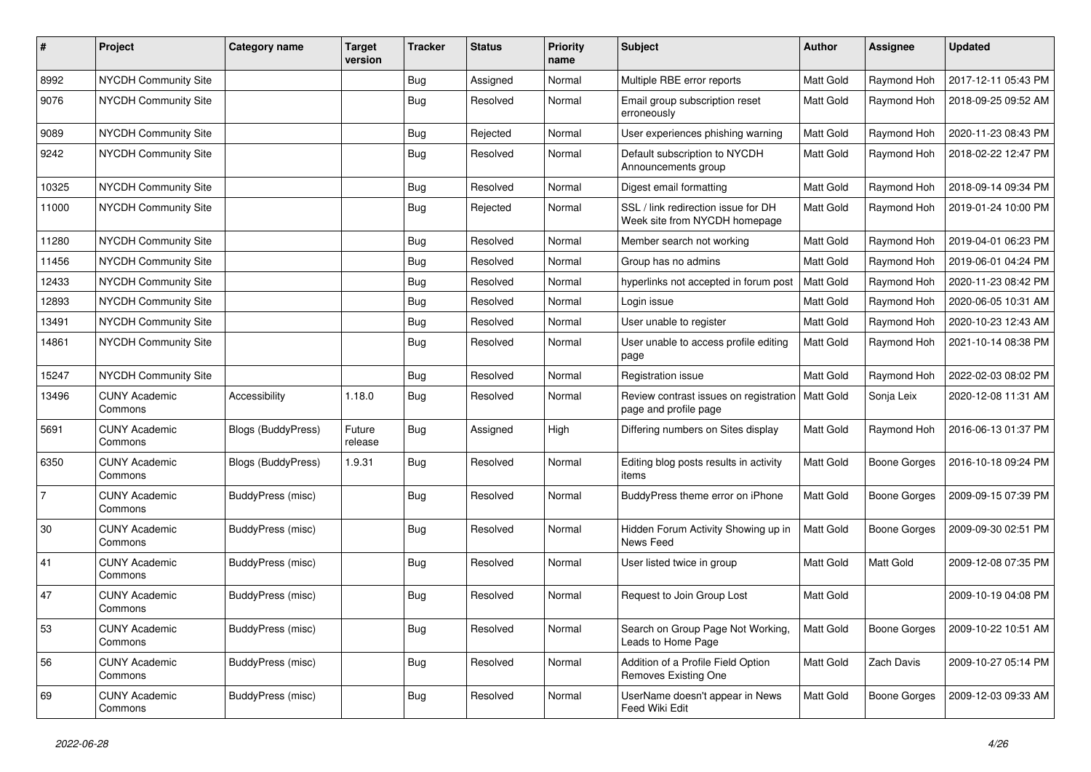| #              | Project                         | <b>Category name</b>      | <b>Target</b><br>version | <b>Tracker</b> | <b>Status</b> | <b>Priority</b><br>name | <b>Subject</b>                                                       | <b>Author</b> | <b>Assignee</b>     | <b>Updated</b>      |
|----------------|---------------------------------|---------------------------|--------------------------|----------------|---------------|-------------------------|----------------------------------------------------------------------|---------------|---------------------|---------------------|
| 8992           | NYCDH Community Site            |                           |                          | <b>Bug</b>     | Assigned      | Normal                  | Multiple RBE error reports                                           | Matt Gold     | Raymond Hoh         | 2017-12-11 05:43 PM |
| 9076           | <b>NYCDH Community Site</b>     |                           |                          | Bug            | Resolved      | Normal                  | Email group subscription reset<br>erroneously                        | Matt Gold     | Raymond Hoh         | 2018-09-25 09:52 AM |
| 9089           | <b>NYCDH Community Site</b>     |                           |                          | Bug            | Rejected      | Normal                  | User experiences phishing warning                                    | Matt Gold     | Raymond Hoh         | 2020-11-23 08:43 PM |
| 9242           | <b>NYCDH Community Site</b>     |                           |                          | Bug            | Resolved      | Normal                  | Default subscription to NYCDH<br>Announcements group                 | Matt Gold     | Raymond Hoh         | 2018-02-22 12:47 PM |
| 10325          | NYCDH Community Site            |                           |                          | Bug            | Resolved      | Normal                  | Digest email formatting                                              | Matt Gold     | Raymond Hoh         | 2018-09-14 09:34 PM |
| 11000          | NYCDH Community Site            |                           |                          | Bug            | Rejected      | Normal                  | SSL / link redirection issue for DH<br>Week site from NYCDH homepage | Matt Gold     | Raymond Hoh         | 2019-01-24 10:00 PM |
| 11280          | NYCDH Community Site            |                           |                          | Bug            | Resolved      | Normal                  | Member search not working                                            | Matt Gold     | Raymond Hoh         | 2019-04-01 06:23 PM |
| 11456          | NYCDH Community Site            |                           |                          | <b>Bug</b>     | Resolved      | Normal                  | Group has no admins                                                  | Matt Gold     | Raymond Hoh         | 2019-06-01 04:24 PM |
| 12433          | NYCDH Community Site            |                           |                          | Bug            | Resolved      | Normal                  | hyperlinks not accepted in forum post                                | Matt Gold     | Raymond Hoh         | 2020-11-23 08:42 PM |
| 12893          | <b>NYCDH Community Site</b>     |                           |                          | Bug            | Resolved      | Normal                  | Login issue                                                          | Matt Gold     | Raymond Hoh         | 2020-06-05 10:31 AM |
| 13491          | NYCDH Community Site            |                           |                          | <b>Bug</b>     | Resolved      | Normal                  | User unable to register                                              | Matt Gold     | Raymond Hoh         | 2020-10-23 12:43 AM |
| 14861          | NYCDH Community Site            |                           |                          | Bug            | Resolved      | Normal                  | User unable to access profile editing<br>page                        | Matt Gold     | Raymond Hoh         | 2021-10-14 08:38 PM |
| 15247          | NYCDH Community Site            |                           |                          | Bug            | Resolved      | Normal                  | Registration issue                                                   | Matt Gold     | Raymond Hoh         | 2022-02-03 08:02 PM |
| 13496          | <b>CUNY Academic</b><br>Commons | Accessibility             | 1.18.0                   | Bug            | Resolved      | Normal                  | Review contrast issues on registration<br>page and profile page      | Matt Gold     | Sonja Leix          | 2020-12-08 11:31 AM |
| 5691           | <b>CUNY Academic</b><br>Commons | <b>Blogs (BuddyPress)</b> | Future<br>release        | <b>Bug</b>     | Assigned      | High                    | Differing numbers on Sites display                                   | Matt Gold     | Raymond Hoh         | 2016-06-13 01:37 PM |
| 6350           | <b>CUNY Academic</b><br>Commons | Blogs (BuddyPress)        | 1.9.31                   | Bug            | Resolved      | Normal                  | Editing blog posts results in activity<br>items                      | Matt Gold     | <b>Boone Gorges</b> | 2016-10-18 09:24 PM |
| $\overline{7}$ | <b>CUNY Academic</b><br>Commons | BuddyPress (misc)         |                          | <b>Bug</b>     | Resolved      | Normal                  | BuddyPress theme error on iPhone                                     | Matt Gold     | <b>Boone Gorges</b> | 2009-09-15 07:39 PM |
| 30             | <b>CUNY Academic</b><br>Commons | BuddyPress (misc)         |                          | <b>Bug</b>     | Resolved      | Normal                  | Hidden Forum Activity Showing up in<br>News Feed                     | Matt Gold     | <b>Boone Gorges</b> | 2009-09-30 02:51 PM |
| 41             | <b>CUNY Academic</b><br>Commons | BuddyPress (misc)         |                          | <b>Bug</b>     | Resolved      | Normal                  | User listed twice in group                                           | Matt Gold     | Matt Gold           | 2009-12-08 07:35 PM |
| 47             | <b>CUNY Academic</b><br>Commons | BuddyPress (misc)         |                          | Bug            | Resolved      | Normal                  | Request to Join Group Lost                                           | Matt Gold     |                     | 2009-10-19 04:08 PM |
| 53             | <b>CUNY Academic</b><br>Commons | BuddyPress (misc)         |                          | <b>Bug</b>     | Resolved      | Normal                  | Search on Group Page Not Working,<br>Leads to Home Page              | Matt Gold     | <b>Boone Gorges</b> | 2009-10-22 10:51 AM |
| 56             | <b>CUNY Academic</b><br>Commons | BuddyPress (misc)         |                          | <b>Bug</b>     | Resolved      | Normal                  | Addition of a Profile Field Option<br>Removes Existing One           | Matt Gold     | Zach Davis          | 2009-10-27 05:14 PM |
| 69             | <b>CUNY Academic</b><br>Commons | BuddyPress (misc)         |                          | <b>Bug</b>     | Resolved      | Normal                  | UserName doesn't appear in News<br>Feed Wiki Edit                    | Matt Gold     | <b>Boone Gorges</b> | 2009-12-03 09:33 AM |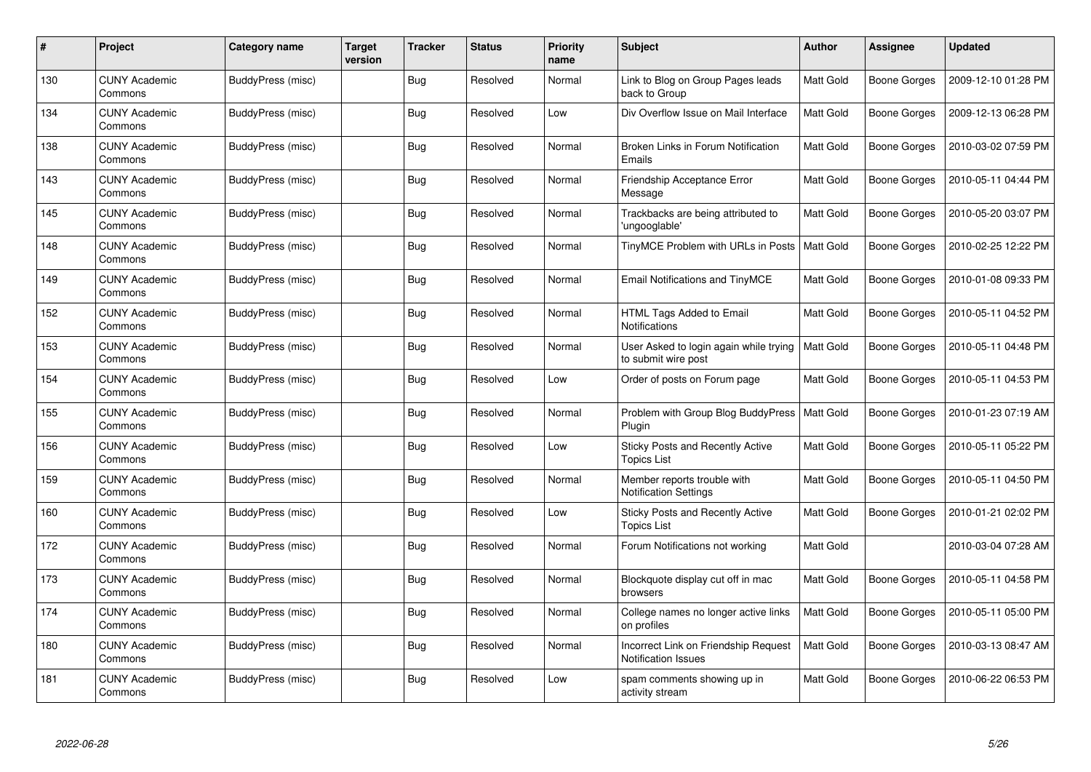| #   | Project                         | Category name            | Target<br>version | <b>Tracker</b> | <b>Status</b> | <b>Priority</b><br>name | <b>Subject</b>                                                | Author    | Assignee            | <b>Updated</b>      |
|-----|---------------------------------|--------------------------|-------------------|----------------|---------------|-------------------------|---------------------------------------------------------------|-----------|---------------------|---------------------|
| 130 | <b>CUNY Academic</b><br>Commons | BuddyPress (misc)        |                   | <b>Bug</b>     | Resolved      | Normal                  | Link to Blog on Group Pages leads<br>back to Group            | Matt Gold | Boone Gorges        | 2009-12-10 01:28 PM |
| 134 | <b>CUNY Academic</b><br>Commons | BuddyPress (misc)        |                   | Bug            | Resolved      | Low                     | Div Overflow Issue on Mail Interface                          | Matt Gold | Boone Gorges        | 2009-12-13 06:28 PM |
| 138 | <b>CUNY Academic</b><br>Commons | BuddyPress (misc)        |                   | Bug            | Resolved      | Normal                  | Broken Links in Forum Notification<br>Emails                  | Matt Gold | Boone Gorges        | 2010-03-02 07:59 PM |
| 143 | <b>CUNY Academic</b><br>Commons | BuddyPress (misc)        |                   | <b>Bug</b>     | Resolved      | Normal                  | Friendship Acceptance Error<br>Message                        | Matt Gold | Boone Gorges        | 2010-05-11 04:44 PM |
| 145 | <b>CUNY Academic</b><br>Commons | BuddyPress (misc)        |                   | Bug            | Resolved      | Normal                  | Trackbacks are being attributed to<br>'ungooglable'           | Matt Gold | <b>Boone Gorges</b> | 2010-05-20 03:07 PM |
| 148 | <b>CUNY Academic</b><br>Commons | BuddyPress (misc)        |                   | Bug            | Resolved      | Normal                  | TinyMCE Problem with URLs in Posts   Matt Gold                |           | Boone Gorges        | 2010-02-25 12:22 PM |
| 149 | <b>CUNY Academic</b><br>Commons | <b>BuddyPress (misc)</b> |                   | <b>Bug</b>     | Resolved      | Normal                  | <b>Email Notifications and TinyMCE</b>                        | Matt Gold | Boone Gorges        | 2010-01-08 09:33 PM |
| 152 | <b>CUNY Academic</b><br>Commons | BuddyPress (misc)        |                   | <b>Bug</b>     | Resolved      | Normal                  | HTML Tags Added to Email<br><b>Notifications</b>              | Matt Gold | Boone Gorges        | 2010-05-11 04:52 PM |
| 153 | <b>CUNY Academic</b><br>Commons | BuddyPress (misc)        |                   | Bug            | Resolved      | Normal                  | User Asked to login again while trying<br>to submit wire post | Matt Gold | Boone Gorges        | 2010-05-11 04:48 PM |
| 154 | <b>CUNY Academic</b><br>Commons | BuddyPress (misc)        |                   | <b>Bug</b>     | Resolved      | Low                     | Order of posts on Forum page                                  | Matt Gold | Boone Gorges        | 2010-05-11 04:53 PM |
| 155 | <b>CUNY Academic</b><br>Commons | BuddyPress (misc)        |                   | <b>Bug</b>     | Resolved      | Normal                  | Problem with Group Blog BuddyPress<br>Plugin                  | Matt Gold | Boone Gorges        | 2010-01-23 07:19 AM |
| 156 | <b>CUNY Academic</b><br>Commons | BuddyPress (misc)        |                   | <b>Bug</b>     | Resolved      | Low                     | Sticky Posts and Recently Active<br><b>Topics List</b>        | Matt Gold | Boone Gorges        | 2010-05-11 05:22 PM |
| 159 | <b>CUNY Academic</b><br>Commons | BuddyPress (misc)        |                   | Bug            | Resolved      | Normal                  | Member reports trouble with<br><b>Notification Settings</b>   | Matt Gold | Boone Gorges        | 2010-05-11 04:50 PM |
| 160 | <b>CUNY Academic</b><br>Commons | BuddyPress (misc)        |                   | <b>Bug</b>     | Resolved      | Low                     | Sticky Posts and Recently Active<br>Topics List               | Matt Gold | Boone Gorges        | 2010-01-21 02:02 PM |
| 172 | <b>CUNY Academic</b><br>Commons | BuddyPress (misc)        |                   | <b>Bug</b>     | Resolved      | Normal                  | Forum Notifications not working                               | Matt Gold |                     | 2010-03-04 07:28 AM |
| 173 | <b>CUNY Academic</b><br>Commons | BuddyPress (misc)        |                   | <b>Bug</b>     | Resolved      | Normal                  | Blockquote display cut off in mac<br>browsers                 | Matt Gold | Boone Gorges        | 2010-05-11 04:58 PM |
| 174 | <b>CUNY Academic</b><br>Commons | BuddyPress (misc)        |                   | <b>Bug</b>     | Resolved      | Normal                  | College names no longer active links<br>on profiles           | Matt Gold | Boone Gorges        | 2010-05-11 05:00 PM |
| 180 | <b>CUNY Academic</b><br>Commons | BuddyPress (misc)        |                   | <b>Bug</b>     | Resolved      | Normal                  | Incorrect Link on Friendship Request<br>Notification Issues   | Matt Gold | <b>Boone Gorges</b> | 2010-03-13 08:47 AM |
| 181 | CUNY Academic<br>Commons        | BuddyPress (misc)        |                   | Bug            | Resolved      | Low                     | spam comments showing up in<br>activity stream                | Matt Gold | Boone Gorges        | 2010-06-22 06:53 PM |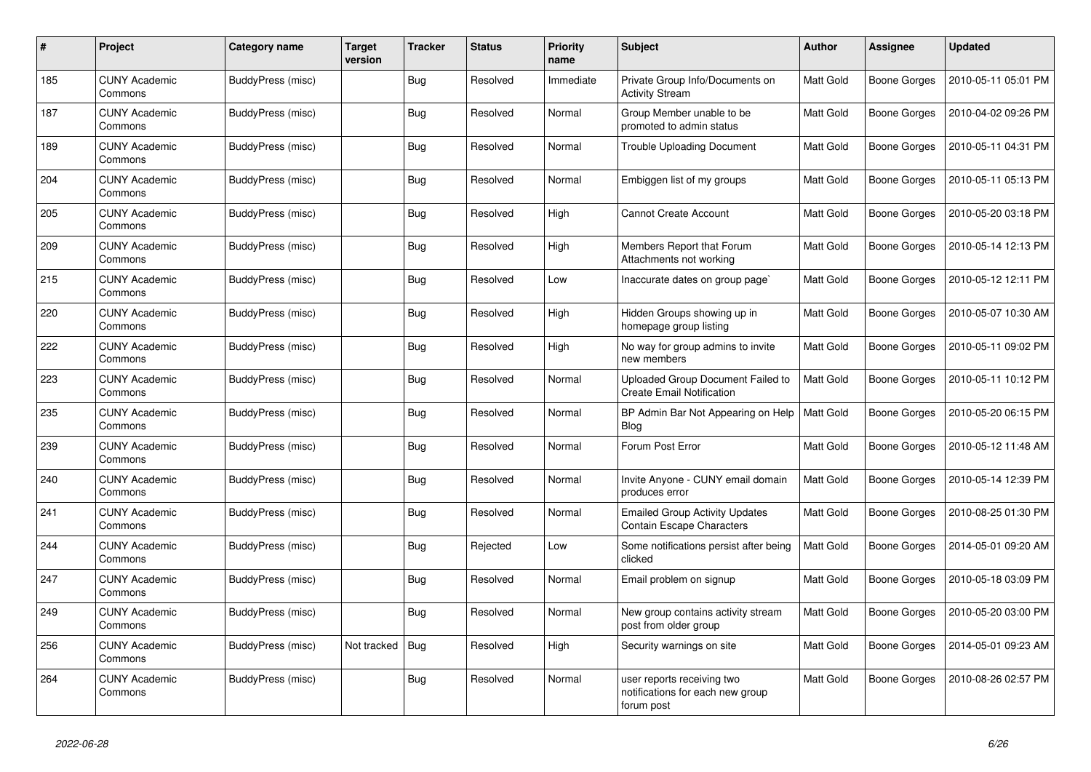| #   | Project                         | Category name            | <b>Target</b><br>version | <b>Tracker</b> | <b>Status</b> | <b>Priority</b><br>name | <b>Subject</b>                                                               | <b>Author</b> | Assignee            | <b>Updated</b>      |
|-----|---------------------------------|--------------------------|--------------------------|----------------|---------------|-------------------------|------------------------------------------------------------------------------|---------------|---------------------|---------------------|
| 185 | <b>CUNY Academic</b><br>Commons | BuddyPress (misc)        |                          | <b>Bug</b>     | Resolved      | Immediate               | Private Group Info/Documents on<br><b>Activity Stream</b>                    | Matt Gold     | Boone Gorges        | 2010-05-11 05:01 PM |
| 187 | <b>CUNY Academic</b><br>Commons | BuddyPress (misc)        |                          | <b>Bug</b>     | Resolved      | Normal                  | Group Member unable to be<br>promoted to admin status                        | Matt Gold     | Boone Gorges        | 2010-04-02 09:26 PM |
| 189 | <b>CUNY Academic</b><br>Commons | BuddyPress (misc)        |                          | Bug            | Resolved      | Normal                  | <b>Trouble Uploading Document</b>                                            | Matt Gold     | Boone Gorges        | 2010-05-11 04:31 PM |
| 204 | <b>CUNY Academic</b><br>Commons | BuddyPress (misc)        |                          | Bug            | Resolved      | Normal                  | Embiggen list of my groups                                                   | Matt Gold     | Boone Gorges        | 2010-05-11 05:13 PM |
| 205 | <b>CUNY Academic</b><br>Commons | BuddyPress (misc)        |                          | <b>Bug</b>     | Resolved      | High                    | <b>Cannot Create Account</b>                                                 | Matt Gold     | Boone Gorges        | 2010-05-20 03:18 PM |
| 209 | <b>CUNY Academic</b><br>Commons | BuddyPress (misc)        |                          | <b>Bug</b>     | Resolved      | High                    | Members Report that Forum<br>Attachments not working                         | Matt Gold     | Boone Gorges        | 2010-05-14 12:13 PM |
| 215 | <b>CUNY Academic</b><br>Commons | BuddyPress (misc)        |                          | <b>Bug</b>     | Resolved      | Low                     | Inaccurate dates on group page`                                              | Matt Gold     | Boone Gorges        | 2010-05-12 12:11 PM |
| 220 | <b>CUNY Academic</b><br>Commons | BuddyPress (misc)        |                          | Bug            | Resolved      | High                    | Hidden Groups showing up in<br>homepage group listing                        | Matt Gold     | Boone Gorges        | 2010-05-07 10:30 AM |
| 222 | <b>CUNY Academic</b><br>Commons | BuddyPress (misc)        |                          | Bug            | Resolved      | High                    | No way for group admins to invite<br>new members                             | Matt Gold     | Boone Gorges        | 2010-05-11 09:02 PM |
| 223 | <b>CUNY Academic</b><br>Commons | BuddyPress (misc)        |                          | <b>Bug</b>     | Resolved      | Normal                  | Uploaded Group Document Failed to<br><b>Create Email Notification</b>        | Matt Gold     | Boone Gorges        | 2010-05-11 10:12 PM |
| 235 | <b>CUNY Academic</b><br>Commons | BuddyPress (misc)        |                          | <b>Bug</b>     | Resolved      | Normal                  | BP Admin Bar Not Appearing on Help<br><b>Blog</b>                            | Matt Gold     | Boone Gorges        | 2010-05-20 06:15 PM |
| 239 | <b>CUNY Academic</b><br>Commons | BuddyPress (misc)        |                          | Bug            | Resolved      | Normal                  | Forum Post Error                                                             | Matt Gold     | Boone Gorges        | 2010-05-12 11:48 AM |
| 240 | <b>CUNY Academic</b><br>Commons | BuddyPress (misc)        |                          | <b>Bug</b>     | Resolved      | Normal                  | Invite Anyone - CUNY email domain<br>produces error                          | Matt Gold     | <b>Boone Gorges</b> | 2010-05-14 12:39 PM |
| 241 | <b>CUNY Academic</b><br>Commons | BuddyPress (misc)        |                          | <b>Bug</b>     | Resolved      | Normal                  | <b>Emailed Group Activity Updates</b><br><b>Contain Escape Characters</b>    | Matt Gold     | Boone Gorges        | 2010-08-25 01:30 PM |
| 244 | <b>CUNY Academic</b><br>Commons | BuddyPress (misc)        |                          | Bug            | Rejected      | Low                     | Some notifications persist after being<br>clicked                            | Matt Gold     | Boone Gorges        | 2014-05-01 09:20 AM |
| 247 | <b>CUNY Academic</b><br>Commons | BuddyPress (misc)        |                          | Bug            | Resolved      | Normal                  | Email problem on signup                                                      | Matt Gold     | Boone Gorges        | 2010-05-18 03:09 PM |
| 249 | <b>CUNY Academic</b><br>Commons | BuddyPress (misc)        |                          | <b>Bug</b>     | Resolved      | Normal                  | New group contains activity stream<br>post from older group                  | Matt Gold     | Boone Gorges        | 2010-05-20 03:00 PM |
| 256 | <b>CUNY Academic</b><br>Commons | <b>BuddyPress (misc)</b> | Not tracked              | <b>Bug</b>     | Resolved      | High                    | Security warnings on site                                                    | Matt Gold     | Boone Gorges        | 2014-05-01 09:23 AM |
| 264 | <b>CUNY Academic</b><br>Commons | BuddyPress (misc)        |                          | <b>Bug</b>     | Resolved      | Normal                  | user reports receiving two<br>notifications for each new group<br>forum post | Matt Gold     | Boone Gorges        | 2010-08-26 02:57 PM |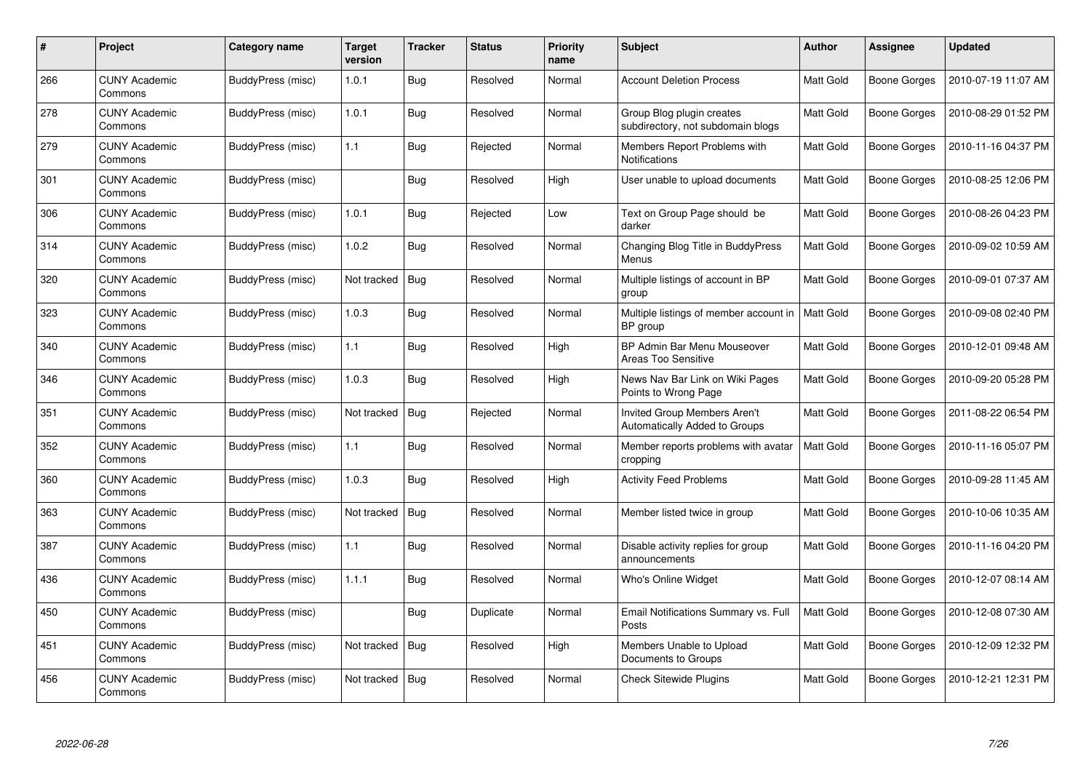| #   | <b>Project</b>                  | Category name     | <b>Target</b><br>version | Tracker    | <b>Status</b> | <b>Priority</b><br>name | <b>Subject</b>                                                       | <b>Author</b> | Assignee            | <b>Updated</b>      |
|-----|---------------------------------|-------------------|--------------------------|------------|---------------|-------------------------|----------------------------------------------------------------------|---------------|---------------------|---------------------|
| 266 | <b>CUNY Academic</b><br>Commons | BuddyPress (misc) | 1.0.1                    | <b>Bug</b> | Resolved      | Normal                  | <b>Account Deletion Process</b>                                      | Matt Gold     | <b>Boone Gorges</b> | 2010-07-19 11:07 AM |
| 278 | <b>CUNY Academic</b><br>Commons | BuddyPress (misc) | 1.0.1                    | <b>Bug</b> | Resolved      | Normal                  | Group Blog plugin creates<br>subdirectory, not subdomain blogs       | Matt Gold     | <b>Boone Gorges</b> | 2010-08-29 01:52 PM |
| 279 | <b>CUNY Academic</b><br>Commons | BuddyPress (misc) | 1.1                      | Bug        | Rejected      | Normal                  | Members Report Problems with<br><b>Notifications</b>                 | Matt Gold     | Boone Gorges        | 2010-11-16 04:37 PM |
| 301 | <b>CUNY Academic</b><br>Commons | BuddyPress (misc) |                          | <b>Bug</b> | Resolved      | High                    | User unable to upload documents                                      | Matt Gold     | <b>Boone Gorges</b> | 2010-08-25 12:06 PM |
| 306 | <b>CUNY Academic</b><br>Commons | BuddyPress (misc) | 1.0.1                    | Bug        | Rejected      | Low                     | Text on Group Page should be<br>darker                               | Matt Gold     | Boone Gorges        | 2010-08-26 04:23 PM |
| 314 | <b>CUNY Academic</b><br>Commons | BuddyPress (misc) | 1.0.2                    | Bug        | Resolved      | Normal                  | Changing Blog Title in BuddyPress<br>Menus                           | Matt Gold     | <b>Boone Gorges</b> | 2010-09-02 10:59 AM |
| 320 | <b>CUNY Academic</b><br>Commons | BuddyPress (misc) | Not tracked              | Bug        | Resolved      | Normal                  | Multiple listings of account in BP<br>group                          | Matt Gold     | Boone Gorges        | 2010-09-01 07:37 AM |
| 323 | <b>CUNY Academic</b><br>Commons | BuddyPress (misc) | 1.0.3                    | <b>Bug</b> | Resolved      | Normal                  | Multiple listings of member account in<br>BP group                   | Matt Gold     | Boone Gorges        | 2010-09-08 02:40 PM |
| 340 | <b>CUNY Academic</b><br>Commons | BuddyPress (misc) | 1.1                      | <b>Bug</b> | Resolved      | High                    | BP Admin Bar Menu Mouseover<br><b>Areas Too Sensitive</b>            | Matt Gold     | Boone Gorges        | 2010-12-01 09:48 AM |
| 346 | <b>CUNY Academic</b><br>Commons | BuddyPress (misc) | 1.0.3                    | Bug        | Resolved      | High                    | News Nav Bar Link on Wiki Pages<br>Points to Wrong Page              | Matt Gold     | <b>Boone Gorges</b> | 2010-09-20 05:28 PM |
| 351 | <b>CUNY Academic</b><br>Commons | BuddyPress (misc) | Not tracked              | Bug        | Rejected      | Normal                  | <b>Invited Group Members Aren't</b><br>Automatically Added to Groups | Matt Gold     | <b>Boone Gorges</b> | 2011-08-22 06:54 PM |
| 352 | <b>CUNY Academic</b><br>Commons | BuddyPress (misc) | 1.1                      | <b>Bug</b> | Resolved      | Normal                  | Member reports problems with avatar<br>cropping                      | Matt Gold     | Boone Gorges        | 2010-11-16 05:07 PM |
| 360 | <b>CUNY Academic</b><br>Commons | BuddyPress (misc) | 1.0.3                    | <b>Bug</b> | Resolved      | High                    | <b>Activity Feed Problems</b>                                        | Matt Gold     | Boone Gorges        | 2010-09-28 11:45 AM |
| 363 | <b>CUNY Academic</b><br>Commons | BuddyPress (misc) | Not tracked              | Bug        | Resolved      | Normal                  | Member listed twice in group                                         | Matt Gold     | Boone Gorges        | 2010-10-06 10:35 AM |
| 387 | <b>CUNY Academic</b><br>Commons | BuddyPress (misc) | 1.1                      | Bug        | Resolved      | Normal                  | Disable activity replies for group<br>announcements                  | Matt Gold     | Boone Gorges        | 2010-11-16 04:20 PM |
| 436 | <b>CUNY Academic</b><br>Commons | BuddyPress (misc) | 1.1.1                    | Bug        | Resolved      | Normal                  | Who's Online Widget                                                  | Matt Gold     | Boone Gorges        | 2010-12-07 08:14 AM |
| 450 | <b>CUNY Academic</b><br>Commons | BuddyPress (misc) |                          | <b>Bug</b> | Duplicate     | Normal                  | Email Notifications Summary vs. Full<br>Posts                        | Matt Gold     | <b>Boone Gorges</b> | 2010-12-08 07:30 AM |
| 451 | <b>CUNY Academic</b><br>Commons | BuddyPress (misc) | Not tracked              | <b>Bug</b> | Resolved      | High                    | Members Unable to Upload<br>Documents to Groups                      | Matt Gold     | Boone Gorges        | 2010-12-09 12:32 PM |
| 456 | <b>CUNY Academic</b><br>Commons | BuddyPress (misc) | Not tracked              | Bug        | Resolved      | Normal                  | <b>Check Sitewide Plugins</b>                                        | Matt Gold     | <b>Boone Gorges</b> | 2010-12-21 12:31 PM |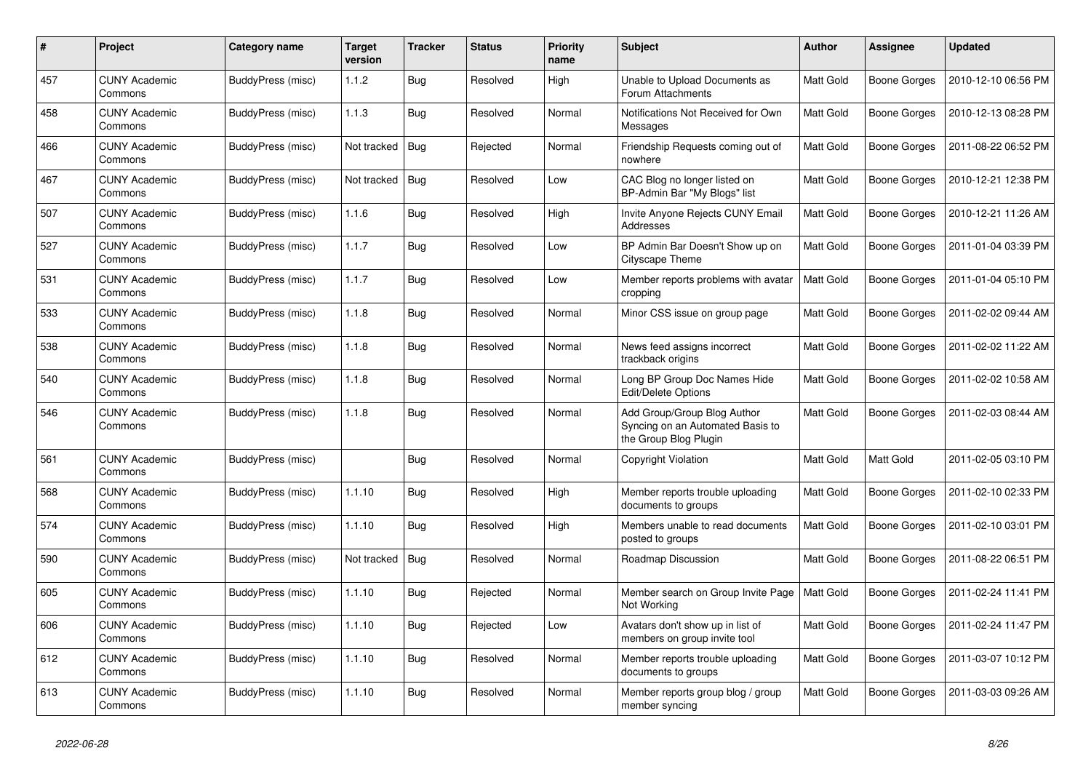| #   | Project                         | Category name            | <b>Target</b><br>version | <b>Tracker</b> | <b>Status</b> | <b>Priority</b><br>name | <b>Subject</b>                                                                           | <b>Author</b> | Assignee            | <b>Updated</b>      |
|-----|---------------------------------|--------------------------|--------------------------|----------------|---------------|-------------------------|------------------------------------------------------------------------------------------|---------------|---------------------|---------------------|
| 457 | <b>CUNY Academic</b><br>Commons | BuddyPress (misc)        | 1.1.2                    | <b>Bug</b>     | Resolved      | High                    | Unable to Upload Documents as<br>Forum Attachments                                       | Matt Gold     | Boone Gorges        | 2010-12-10 06:56 PM |
| 458 | <b>CUNY Academic</b><br>Commons | BuddyPress (misc)        | 1.1.3                    | <b>Bug</b>     | Resolved      | Normal                  | Notifications Not Received for Own<br>Messages                                           | Matt Gold     | <b>Boone Gorges</b> | 2010-12-13 08:28 PM |
| 466 | <b>CUNY Academic</b><br>Commons | BuddyPress (misc)        | Not tracked              | Bug            | Rejected      | Normal                  | Friendship Requests coming out of<br>nowhere                                             | Matt Gold     | Boone Gorges        | 2011-08-22 06:52 PM |
| 467 | CUNY Academic<br>Commons        | BuddyPress (misc)        | Not tracked              | Bug            | Resolved      | Low                     | CAC Blog no longer listed on<br>BP-Admin Bar "My Blogs" list                             | Matt Gold     | Boone Gorges        | 2010-12-21 12:38 PM |
| 507 | <b>CUNY Academic</b><br>Commons | BuddyPress (misc)        | 1.1.6                    | Bug            | Resolved      | High                    | Invite Anyone Rejects CUNY Email<br>Addresses                                            | Matt Gold     | Boone Gorges        | 2010-12-21 11:26 AM |
| 527 | <b>CUNY Academic</b><br>Commons | BuddyPress (misc)        | 1.1.7                    | <b>Bug</b>     | Resolved      | Low                     | BP Admin Bar Doesn't Show up on<br>Cityscape Theme                                       | Matt Gold     | Boone Gorges        | 2011-01-04 03:39 PM |
| 531 | <b>CUNY Academic</b><br>Commons | BuddyPress (misc)        | 1.1.7                    | Bug            | Resolved      | Low                     | Member reports problems with avatar<br>cropping                                          | Matt Gold     | Boone Gorges        | 2011-01-04 05:10 PM |
| 533 | <b>CUNY Academic</b><br>Commons | BuddyPress (misc)        | 1.1.8                    | <b>Bug</b>     | Resolved      | Normal                  | Minor CSS issue on group page                                                            | Matt Gold     | Boone Gorges        | 2011-02-02 09:44 AM |
| 538 | CUNY Academic<br>Commons        | BuddyPress (misc)        | 1.1.8                    | Bug            | Resolved      | Normal                  | News feed assigns incorrect<br>trackback origins                                         | Matt Gold     | <b>Boone Gorges</b> | 2011-02-02 11:22 AM |
| 540 | <b>CUNY Academic</b><br>Commons | BuddyPress (misc)        | 1.1.8                    | <b>Bug</b>     | Resolved      | Normal                  | Long BP Group Doc Names Hide<br>Edit/Delete Options                                      | Matt Gold     | Boone Gorges        | 2011-02-02 10:58 AM |
| 546 | CUNY Academic<br>Commons        | BuddyPress (misc)        | 1.1.8                    | Bug            | Resolved      | Normal                  | Add Group/Group Blog Author<br>Syncing on an Automated Basis to<br>the Group Blog Plugin | Matt Gold     | Boone Gorges        | 2011-02-03 08:44 AM |
| 561 | <b>CUNY Academic</b><br>Commons | BuddyPress (misc)        |                          | <b>Bug</b>     | Resolved      | Normal                  | <b>Copyright Violation</b>                                                               | Matt Gold     | Matt Gold           | 2011-02-05 03:10 PM |
| 568 | <b>CUNY Academic</b><br>Commons | BuddyPress (misc)        | 1.1.10                   | Bug            | Resolved      | High                    | Member reports trouble uploading<br>documents to groups                                  | Matt Gold     | Boone Gorges        | 2011-02-10 02:33 PM |
| 574 | <b>CUNY Academic</b><br>Commons | <b>BuddyPress (misc)</b> | 1.1.10                   | <b>Bug</b>     | Resolved      | High                    | Members unable to read documents<br>posted to groups                                     | Matt Gold     | Boone Gorges        | 2011-02-10 03:01 PM |
| 590 | <b>CUNY Academic</b><br>Commons | <b>BuddyPress (misc)</b> | Not tracked              | Bug            | Resolved      | Normal                  | Roadmap Discussion                                                                       | Matt Gold     | Boone Gorges        | 2011-08-22 06:51 PM |
| 605 | <b>CUNY Academic</b><br>Commons | <b>BuddyPress (misc)</b> | 1.1.10                   | <b>Bug</b>     | Rejected      | Normal                  | Member search on Group Invite Page<br>Not Working                                        | Matt Gold     | Boone Gorges        | 2011-02-24 11:41 PM |
| 606 | <b>CUNY Academic</b><br>Commons | <b>BuddyPress (misc)</b> | 1.1.10                   | Bug            | Rejected      | Low                     | Avatars don't show up in list of<br>members on group invite tool                         | Matt Gold     | Boone Gorges        | 2011-02-24 11:47 PM |
| 612 | <b>CUNY Academic</b><br>Commons | BuddyPress (misc)        | 1.1.10                   | Bug            | Resolved      | Normal                  | Member reports trouble uploading<br>documents to groups                                  | Matt Gold     | Boone Gorges        | 2011-03-07 10:12 PM |
| 613 | <b>CUNY Academic</b><br>Commons | <b>BuddyPress (misc)</b> | 1.1.10                   | Bug            | Resolved      | Normal                  | Member reports group blog / group<br>member syncing                                      | Matt Gold     | Boone Gorges        | 2011-03-03 09:26 AM |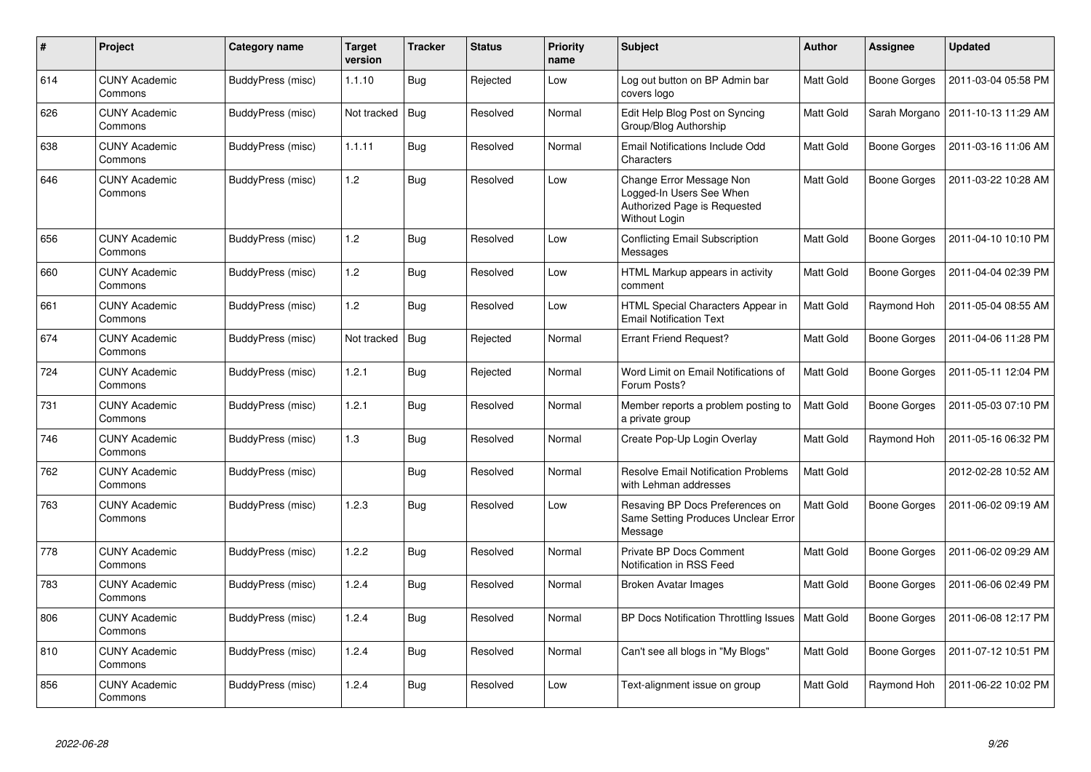| #   | <b>Project</b>                  | Category name     | <b>Target</b><br>version | <b>Tracker</b> | <b>Status</b> | <b>Priority</b><br>name | <b>Subject</b>                                                                                        | <b>Author</b> | <b>Assignee</b> | <b>Updated</b>                      |
|-----|---------------------------------|-------------------|--------------------------|----------------|---------------|-------------------------|-------------------------------------------------------------------------------------------------------|---------------|-----------------|-------------------------------------|
| 614 | <b>CUNY Academic</b><br>Commons | BuddyPress (misc) | 1.1.10                   | <b>Bug</b>     | Rejected      | Low                     | Log out button on BP Admin bar<br>covers logo                                                         | Matt Gold     | Boone Gorges    | 2011-03-04 05:58 PM                 |
| 626 | <b>CUNY Academic</b><br>Commons | BuddyPress (misc) | Not tracked              | Bug            | Resolved      | Normal                  | Edit Help Blog Post on Syncing<br>Group/Blog Authorship                                               | Matt Gold     |                 | Sarah Morgano   2011-10-13 11:29 AM |
| 638 | <b>CUNY Academic</b><br>Commons | BuddyPress (misc) | 1.1.11                   | Bug            | Resolved      | Normal                  | Email Notifications Include Odd<br>Characters                                                         | Matt Gold     | Boone Gorges    | 2011-03-16 11:06 AM                 |
| 646 | <b>CUNY Academic</b><br>Commons | BuddyPress (misc) | 1.2                      | Bug            | Resolved      | Low                     | Change Error Message Non<br>Logged-In Users See When<br>Authorized Page is Requested<br>Without Login | Matt Gold     | Boone Gorges    | 2011-03-22 10:28 AM                 |
| 656 | <b>CUNY Academic</b><br>Commons | BuddyPress (misc) | 1.2                      | <b>Bug</b>     | Resolved      | Low                     | <b>Conflicting Email Subscription</b><br>Messages                                                     | Matt Gold     | Boone Gorges    | 2011-04-10 10:10 PM                 |
| 660 | <b>CUNY Academic</b><br>Commons | BuddyPress (misc) | 1.2                      | <b>Bug</b>     | Resolved      | Low                     | HTML Markup appears in activity<br>comment                                                            | Matt Gold     | Boone Gorges    | 2011-04-04 02:39 PM                 |
| 661 | <b>CUNY Academic</b><br>Commons | BuddyPress (misc) | 1.2                      | <b>Bug</b>     | Resolved      | Low                     | HTML Special Characters Appear in<br><b>Email Notification Text</b>                                   | Matt Gold     | Raymond Hoh     | 2011-05-04 08:55 AM                 |
| 674 | <b>CUNY Academic</b><br>Commons | BuddyPress (misc) | Not tracked              | Bug            | Rejected      | Normal                  | <b>Errant Friend Request?</b>                                                                         | Matt Gold     | Boone Gorges    | 2011-04-06 11:28 PM                 |
| 724 | <b>CUNY Academic</b><br>Commons | BuddyPress (misc) | 1.2.1                    | <b>Bug</b>     | Rejected      | Normal                  | Word Limit on Email Notifications of<br>Forum Posts?                                                  | Matt Gold     | Boone Gorges    | 2011-05-11 12:04 PM                 |
| 731 | <b>CUNY Academic</b><br>Commons | BuddyPress (misc) | 1.2.1                    | <b>Bug</b>     | Resolved      | Normal                  | Member reports a problem posting to<br>a private group                                                | Matt Gold     | Boone Gorges    | 2011-05-03 07:10 PM                 |
| 746 | <b>CUNY Academic</b><br>Commons | BuddyPress (misc) | 1.3                      | Bug            | Resolved      | Normal                  | Create Pop-Up Login Overlay                                                                           | Matt Gold     | Raymond Hoh     | 2011-05-16 06:32 PM                 |
| 762 | <b>CUNY Academic</b><br>Commons | BuddyPress (misc) |                          | <b>Bug</b>     | Resolved      | Normal                  | Resolve Email Notification Problems<br>with Lehman addresses                                          | Matt Gold     |                 | 2012-02-28 10:52 AM                 |
| 763 | <b>CUNY Academic</b><br>Commons | BuddyPress (misc) | 1.2.3                    | Bug            | Resolved      | Low                     | Resaving BP Docs Preferences on<br>Same Setting Produces Unclear Error<br>Message                     | Matt Gold     | Boone Gorges    | 2011-06-02 09:19 AM                 |
| 778 | <b>CUNY Academic</b><br>Commons | BuddyPress (misc) | 1.2.2                    | <b>Bug</b>     | Resolved      | Normal                  | Private BP Docs Comment<br>Notification in RSS Feed                                                   | Matt Gold     | Boone Gorges    | 2011-06-02 09:29 AM                 |
| 783 | <b>CUNY Academic</b><br>Commons | BuddyPress (misc) | 1.2.4                    | <b>Bug</b>     | Resolved      | Normal                  | Broken Avatar Images                                                                                  | Matt Gold     | Boone Gorges    | 2011-06-06 02:49 PM                 |
| 806 | <b>CUNY Academic</b><br>Commons | BuddyPress (misc) | 1.2.4                    | <b>Bug</b>     | Resolved      | Normal                  | BP Docs Notification Throttling Issues                                                                | Matt Gold     | Boone Gorges    | 2011-06-08 12:17 PM                 |
| 810 | <b>CUNY Academic</b><br>Commons | BuddyPress (misc) | 1.2.4                    | <b>Bug</b>     | Resolved      | Normal                  | Can't see all blogs in "My Blogs"                                                                     | Matt Gold     | Boone Gorges    | 2011-07-12 10:51 PM                 |
| 856 | <b>CUNY Academic</b><br>Commons | BuddyPress (misc) | 1.2.4                    | <b>Bug</b>     | Resolved      | Low                     | Text-alignment issue on group                                                                         | Matt Gold     | Raymond Hoh     | 2011-06-22 10:02 PM                 |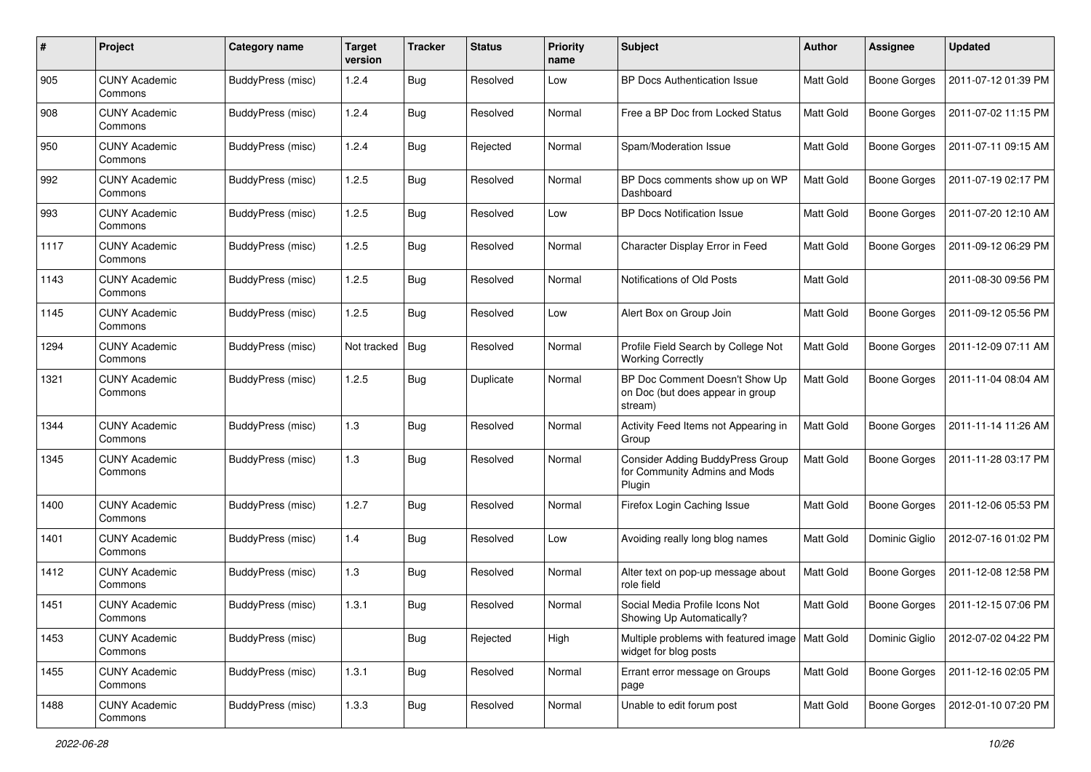| #    | Project                         | Category name     | <b>Target</b><br>version | <b>Tracker</b> | <b>Status</b> | <b>Priority</b><br>name | <b>Subject</b>                                                                     | Author           | Assignee            | <b>Updated</b>      |
|------|---------------------------------|-------------------|--------------------------|----------------|---------------|-------------------------|------------------------------------------------------------------------------------|------------------|---------------------|---------------------|
| 905  | <b>CUNY Academic</b><br>Commons | BuddyPress (misc) | 1.2.4                    | Bug            | Resolved      | Low                     | <b>BP Docs Authentication Issue</b>                                                | <b>Matt Gold</b> | <b>Boone Gorges</b> | 2011-07-12 01:39 PM |
| 908  | <b>CUNY Academic</b><br>Commons | BuddyPress (misc) | 1.2.4                    | Bug            | Resolved      | Normal                  | Free a BP Doc from Locked Status                                                   | <b>Matt Gold</b> | <b>Boone Gorges</b> | 2011-07-02 11:15 PM |
| 950  | CUNY Academic<br>Commons        | BuddyPress (misc) | 1.2.4                    | Bug            | Rejected      | Normal                  | Spam/Moderation Issue                                                              | Matt Gold        | <b>Boone Gorges</b> | 2011-07-11 09:15 AM |
| 992  | <b>CUNY Academic</b><br>Commons | BuddyPress (misc) | 1.2.5                    | Bug            | Resolved      | Normal                  | BP Docs comments show up on WP<br>Dashboard                                        | Matt Gold        | <b>Boone Gorges</b> | 2011-07-19 02:17 PM |
| 993  | CUNY Academic<br>Commons        | BuddyPress (misc) | 1.2.5                    | <b>Bug</b>     | Resolved      | Low                     | <b>BP Docs Notification Issue</b>                                                  | Matt Gold        | <b>Boone Gorges</b> | 2011-07-20 12:10 AM |
| 1117 | <b>CUNY Academic</b><br>Commons | BuddyPress (misc) | 1.2.5                    | Bug            | Resolved      | Normal                  | Character Display Error in Feed                                                    | Matt Gold        | <b>Boone Gorges</b> | 2011-09-12 06:29 PM |
| 1143 | <b>CUNY Academic</b><br>Commons | BuddyPress (misc) | 1.2.5                    | <b>Bug</b>     | Resolved      | Normal                  | Notifications of Old Posts                                                         | Matt Gold        |                     | 2011-08-30 09:56 PM |
| 1145 | <b>CUNY Academic</b><br>Commons | BuddyPress (misc) | 1.2.5                    | <b>Bug</b>     | Resolved      | Low                     | Alert Box on Group Join                                                            | Matt Gold        | <b>Boone Gorges</b> | 2011-09-12 05:56 PM |
| 1294 | <b>CUNY Academic</b><br>Commons | BuddyPress (misc) | Not tracked              | Bug            | Resolved      | Normal                  | Profile Field Search by College Not<br><b>Working Correctly</b>                    | <b>Matt Gold</b> | <b>Boone Gorges</b> | 2011-12-09 07:11 AM |
| 1321 | <b>CUNY Academic</b><br>Commons | BuddyPress (misc) | 1.2.5                    | Bug            | Duplicate     | Normal                  | BP Doc Comment Doesn't Show Up<br>on Doc (but does appear in group<br>stream)      | Matt Gold        | <b>Boone Gorges</b> | 2011-11-04 08:04 AM |
| 1344 | <b>CUNY Academic</b><br>Commons | BuddyPress (misc) | 1.3                      | Bug            | Resolved      | Normal                  | Activity Feed Items not Appearing in<br>Group                                      | Matt Gold        | <b>Boone Gorges</b> | 2011-11-14 11:26 AM |
| 1345 | <b>CUNY Academic</b><br>Commons | BuddyPress (misc) | 1.3                      | Bug            | Resolved      | Normal                  | <b>Consider Adding BuddyPress Group</b><br>for Community Admins and Mods<br>Plugin | Matt Gold        | <b>Boone Gorges</b> | 2011-11-28 03:17 PM |
| 1400 | <b>CUNY Academic</b><br>Commons | BuddyPress (misc) | 1.2.7                    | Bug            | Resolved      | Normal                  | Firefox Login Caching Issue                                                        | Matt Gold        | <b>Boone Gorges</b> | 2011-12-06 05:53 PM |
| 1401 | <b>CUNY Academic</b><br>Commons | BuddyPress (misc) | 1.4                      | Bug            | Resolved      | Low                     | Avoiding really long blog names                                                    | Matt Gold        | Dominic Giglio      | 2012-07-16 01:02 PM |
| 1412 | <b>CUNY Academic</b><br>Commons | BuddyPress (misc) | 1.3                      | Bug            | Resolved      | Normal                  | Alter text on pop-up message about<br>role field                                   | Matt Gold        | <b>Boone Gorges</b> | 2011-12-08 12:58 PM |
| 1451 | <b>CUNY Academic</b><br>Commons | BuddyPress (misc) | 1.3.1                    | Bug            | Resolved      | Normal                  | Social Media Profile Icons Not<br>Showing Up Automatically?                        | Matt Gold        | <b>Boone Gorges</b> | 2011-12-15 07:06 PM |
| 1453 | <b>CUNY Academic</b><br>Commons | BuddyPress (misc) |                          | <b>Bug</b>     | Rejected      | High                    | Multiple problems with featured image   Matt Gold<br>widget for blog posts         |                  | Dominic Giglio      | 2012-07-02 04:22 PM |
| 1455 | <b>CUNY Academic</b><br>Commons | BuddyPress (misc) | 1.3.1                    | <b>Bug</b>     | Resolved      | Normal                  | Errant error message on Groups<br>page                                             | Matt Gold        | Boone Gorges        | 2011-12-16 02:05 PM |
| 1488 | <b>CUNY Academic</b><br>Commons | BuddyPress (misc) | 1.3.3                    | <b>Bug</b>     | Resolved      | Normal                  | Unable to edit forum post                                                          | Matt Gold        | Boone Gorges        | 2012-01-10 07:20 PM |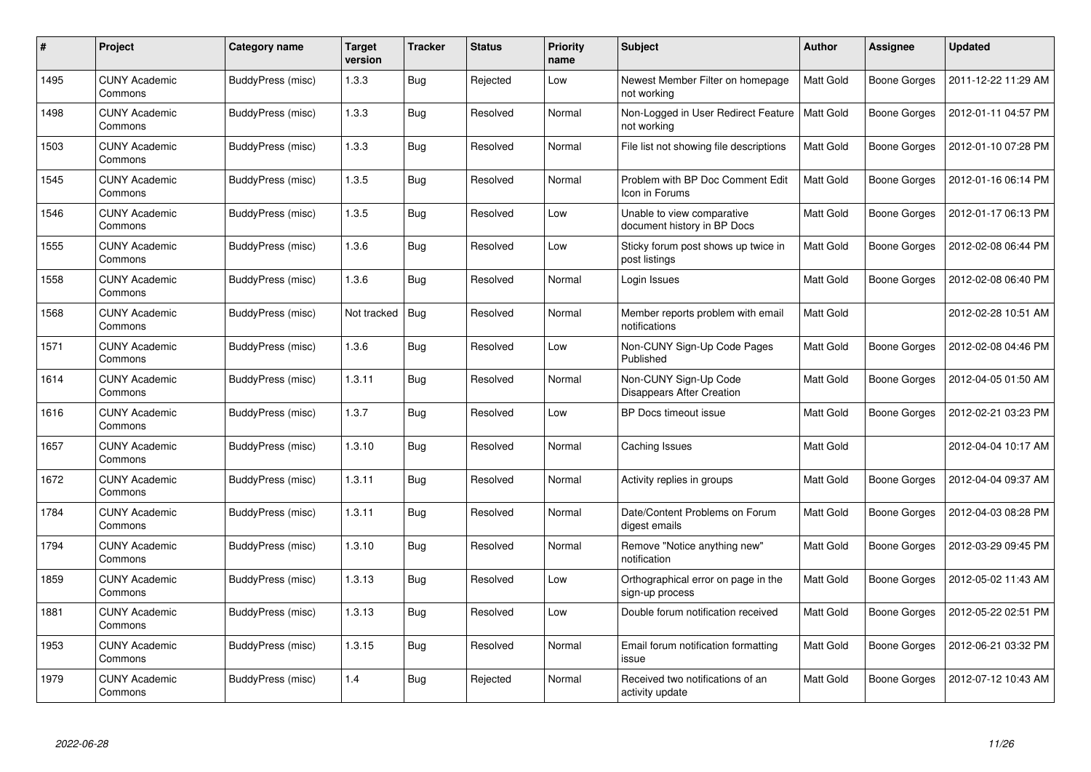| #    | <b>Project</b>                  | Category name            | <b>Target</b><br>version | <b>Tracker</b> | <b>Status</b> | <b>Priority</b><br>name | <b>Subject</b>                                            | <b>Author</b> | Assignee            | <b>Updated</b>      |
|------|---------------------------------|--------------------------|--------------------------|----------------|---------------|-------------------------|-----------------------------------------------------------|---------------|---------------------|---------------------|
| 1495 | <b>CUNY Academic</b><br>Commons | BuddyPress (misc)        | 1.3.3                    | <b>Bug</b>     | Rejected      | Low                     | Newest Member Filter on homepage<br>not working           | Matt Gold     | Boone Gorges        | 2011-12-22 11:29 AM |
| 1498 | <b>CUNY Academic</b><br>Commons | BuddyPress (misc)        | 1.3.3                    | <b>Bug</b>     | Resolved      | Normal                  | Non-Logged in User Redirect Feature<br>not working        | Matt Gold     | Boone Gorges        | 2012-01-11 04:57 PM |
| 1503 | <b>CUNY Academic</b><br>Commons | BuddyPress (misc)        | 1.3.3                    | Bug            | Resolved      | Normal                  | File list not showing file descriptions                   | Matt Gold     | <b>Boone Gorges</b> | 2012-01-10 07:28 PM |
| 1545 | <b>CUNY Academic</b><br>Commons | BuddyPress (misc)        | 1.3.5                    | Bug            | Resolved      | Normal                  | Problem with BP Doc Comment Edit<br>Icon in Forums        | Matt Gold     | Boone Gorges        | 2012-01-16 06:14 PM |
| 1546 | <b>CUNY Academic</b><br>Commons | BuddyPress (misc)        | 1.3.5                    | <b>Bug</b>     | Resolved      | Low                     | Unable to view comparative<br>document history in BP Docs | Matt Gold     | Boone Gorges        | 2012-01-17 06:13 PM |
| 1555 | <b>CUNY Academic</b><br>Commons | BuddyPress (misc)        | 1.3.6                    | Bug            | Resolved      | Low                     | Sticky forum post shows up twice in<br>post listings      | Matt Gold     | <b>Boone Gorges</b> | 2012-02-08 06:44 PM |
| 1558 | <b>CUNY Academic</b><br>Commons | BuddyPress (misc)        | 1.3.6                    | Bug            | Resolved      | Normal                  | Login Issues                                              | Matt Gold     | <b>Boone Gorges</b> | 2012-02-08 06:40 PM |
| 1568 | <b>CUNY Academic</b><br>Commons | <b>BuddyPress (misc)</b> | Not tracked              | Bug            | Resolved      | Normal                  | Member reports problem with email<br>notifications        | Matt Gold     |                     | 2012-02-28 10:51 AM |
| 1571 | <b>CUNY Academic</b><br>Commons | BuddyPress (misc)        | 1.3.6                    | <b>Bug</b>     | Resolved      | Low                     | Non-CUNY Sign-Up Code Pages<br>Published                  | Matt Gold     | <b>Boone Gorges</b> | 2012-02-08 04:46 PM |
| 1614 | <b>CUNY Academic</b><br>Commons | BuddyPress (misc)        | 1.3.11                   | Bug            | Resolved      | Normal                  | Non-CUNY Sign-Up Code<br>Disappears After Creation        | Matt Gold     | Boone Gorges        | 2012-04-05 01:50 AM |
| 1616 | <b>CUNY Academic</b><br>Commons | BuddyPress (misc)        | 1.3.7                    | Bug            | Resolved      | Low                     | BP Docs timeout issue                                     | Matt Gold     | <b>Boone Gorges</b> | 2012-02-21 03:23 PM |
| 1657 | <b>CUNY Academic</b><br>Commons | BuddyPress (misc)        | 1.3.10                   | Bug            | Resolved      | Normal                  | Caching Issues                                            | Matt Gold     |                     | 2012-04-04 10:17 AM |
| 1672 | <b>CUNY Academic</b><br>Commons | <b>BuddyPress (misc)</b> | 1.3.11                   | Bug            | Resolved      | Normal                  | Activity replies in groups                                | Matt Gold     | <b>Boone Gorges</b> | 2012-04-04 09:37 AM |
| 1784 | <b>CUNY Academic</b><br>Commons | BuddyPress (misc)        | 1.3.11                   | <b>Bug</b>     | Resolved      | Normal                  | Date/Content Problems on Forum<br>digest emails           | Matt Gold     | <b>Boone Gorges</b> | 2012-04-03 08:28 PM |
| 1794 | <b>CUNY Academic</b><br>Commons | BuddyPress (misc)        | 1.3.10                   | Bug            | Resolved      | Normal                  | Remove "Notice anything new"<br>notification              | Matt Gold     | <b>Boone Gorges</b> | 2012-03-29 09:45 PM |
| 1859 | <b>CUNY Academic</b><br>Commons | BuddyPress (misc)        | 1.3.13                   | Bug            | Resolved      | Low                     | Orthographical error on page in the<br>sign-up process    | Matt Gold     | <b>Boone Gorges</b> | 2012-05-02 11:43 AM |
| 1881 | <b>CUNY Academic</b><br>Commons | <b>BuddyPress (misc)</b> | 1.3.13                   | Bug            | Resolved      | Low                     | Double forum notification received                        | Matt Gold     | <b>Boone Gorges</b> | 2012-05-22 02:51 PM |
| 1953 | <b>CUNY Academic</b><br>Commons | BuddyPress (misc)        | 1.3.15                   | Bug            | Resolved      | Normal                  | Email forum notification formatting<br>issue              | Matt Gold     | <b>Boone Gorges</b> | 2012-06-21 03:32 PM |
| 1979 | <b>CUNY Academic</b><br>Commons | BuddyPress (misc)        | 1.4                      | Bug            | Rejected      | Normal                  | Received two notifications of an<br>activity update       | Matt Gold     | Boone Gorges        | 2012-07-12 10:43 AM |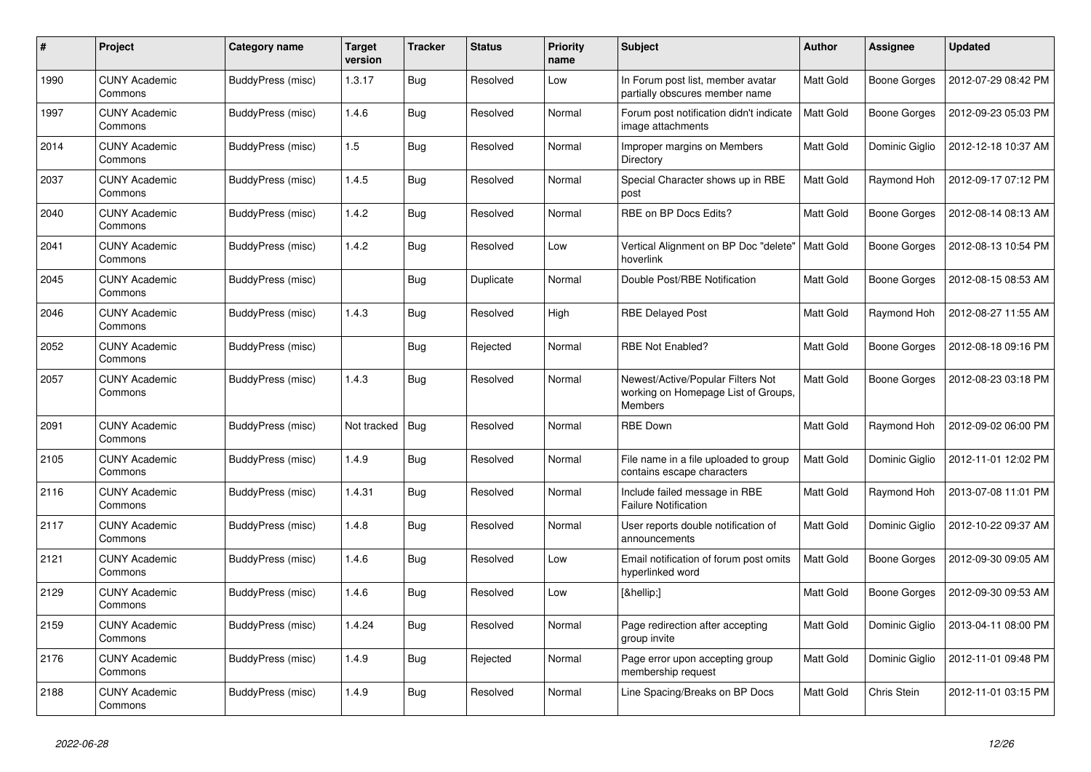| #    | Project                         | Category name            | <b>Target</b><br>version | <b>Tracker</b> | <b>Status</b> | <b>Priority</b><br>name | <b>Subject</b>                                                                             | <b>Author</b> | Assignee            | <b>Updated</b>      |
|------|---------------------------------|--------------------------|--------------------------|----------------|---------------|-------------------------|--------------------------------------------------------------------------------------------|---------------|---------------------|---------------------|
| 1990 | <b>CUNY Academic</b><br>Commons | BuddyPress (misc)        | 1.3.17                   | <b>Bug</b>     | Resolved      | Low                     | In Forum post list, member avatar<br>partially obscures member name                        | Matt Gold     | Boone Gorges        | 2012-07-29 08:42 PM |
| 1997 | <b>CUNY Academic</b><br>Commons | BuddyPress (misc)        | 1.4.6                    | <b>Bug</b>     | Resolved      | Normal                  | Forum post notification didn't indicate<br>image attachments                               | Matt Gold     | <b>Boone Gorges</b> | 2012-09-23 05:03 PM |
| 2014 | <b>CUNY Academic</b><br>Commons | <b>BuddyPress (misc)</b> | 1.5                      | Bug            | Resolved      | Normal                  | Improper margins on Members<br>Directory                                                   | Matt Gold     | Dominic Giglio      | 2012-12-18 10:37 AM |
| 2037 | <b>CUNY Academic</b><br>Commons | <b>BuddyPress (misc)</b> | 1.4.5                    | <b>Bug</b>     | Resolved      | Normal                  | Special Character shows up in RBE<br>post                                                  | Matt Gold     | Raymond Hoh         | 2012-09-17 07:12 PM |
| 2040 | <b>CUNY Academic</b><br>Commons | BuddyPress (misc)        | 1.4.2                    | Bug            | Resolved      | Normal                  | RBE on BP Docs Edits?                                                                      | Matt Gold     | Boone Gorges        | 2012-08-14 08:13 AM |
| 2041 | <b>CUNY Academic</b><br>Commons | BuddyPress (misc)        | 1.4.2                    | <b>Bug</b>     | Resolved      | Low                     | Vertical Alignment on BP Doc "delete"<br>hoverlink                                         | Matt Gold     | Boone Gorges        | 2012-08-13 10:54 PM |
| 2045 | <b>CUNY Academic</b><br>Commons | BuddyPress (misc)        |                          | Bug            | Duplicate     | Normal                  | Double Post/RBE Notification                                                               | Matt Gold     | Boone Gorges        | 2012-08-15 08:53 AM |
| 2046 | <b>CUNY Academic</b><br>Commons | BuddyPress (misc)        | 1.4.3                    | Bug            | Resolved      | High                    | <b>RBE Delayed Post</b>                                                                    | Matt Gold     | Raymond Hoh         | 2012-08-27 11:55 AM |
| 2052 | CUNY Academic<br>Commons        | BuddyPress (misc)        |                          | Bug            | Rejected      | Normal                  | <b>RBE Not Enabled?</b>                                                                    | Matt Gold     | Boone Gorges        | 2012-08-18 09:16 PM |
| 2057 | <b>CUNY Academic</b><br>Commons | <b>BuddyPress (misc)</b> | 1.4.3                    | Bug            | Resolved      | Normal                  | Newest/Active/Popular Filters Not<br>working on Homepage List of Groups,<br><b>Members</b> | Matt Gold     | Boone Gorges        | 2012-08-23 03:18 PM |
| 2091 | <b>CUNY Academic</b><br>Commons | BuddyPress (misc)        | Not tracked              | Bug            | Resolved      | Normal                  | <b>RBE Down</b>                                                                            | Matt Gold     | Raymond Hoh         | 2012-09-02 06:00 PM |
| 2105 | <b>CUNY Academic</b><br>Commons | BuddyPress (misc)        | 1.4.9                    | <b>Bug</b>     | Resolved      | Normal                  | File name in a file uploaded to group<br>contains escape characters                        | Matt Gold     | Dominic Giglio      | 2012-11-01 12:02 PM |
| 2116 | <b>CUNY Academic</b><br>Commons | BuddyPress (misc)        | 1.4.31                   | <b>Bug</b>     | Resolved      | Normal                  | Include failed message in RBE<br><b>Failure Notification</b>                               | Matt Gold     | Raymond Hoh         | 2013-07-08 11:01 PM |
| 2117 | <b>CUNY Academic</b><br>Commons | <b>BuddyPress (misc)</b> | 1.4.8                    | <b>Bug</b>     | Resolved      | Normal                  | User reports double notification of<br>announcements                                       | Matt Gold     | Dominic Giglio      | 2012-10-22 09:37 AM |
| 2121 | <b>CUNY Academic</b><br>Commons | BuddyPress (misc)        | 1.4.6                    | <b>Bug</b>     | Resolved      | Low                     | Email notification of forum post omits<br>hyperlinked word                                 | Matt Gold     | Boone Gorges        | 2012-09-30 09:05 AM |
| 2129 | <b>CUNY Academic</b><br>Commons | BuddyPress (misc)        | 1.4.6                    | <b>Bug</b>     | Resolved      | Low                     | […]                                                                                        | Matt Gold     | Boone Gorges        | 2012-09-30 09:53 AM |
| 2159 | <b>CUNY Academic</b><br>Commons | <b>BuddyPress (misc)</b> | 1.4.24                   | <b>Bug</b>     | Resolved      | Normal                  | Page redirection after accepting<br>group invite                                           | Matt Gold     | Dominic Giglio      | 2013-04-11 08:00 PM |
| 2176 | <b>CUNY Academic</b><br>Commons | BuddyPress (misc)        | 1.4.9                    | Bug            | Rejected      | Normal                  | Page error upon accepting group<br>membership request                                      | Matt Gold     | Dominic Giglio      | 2012-11-01 09:48 PM |
| 2188 | <b>CUNY Academic</b><br>Commons | BuddyPress (misc)        | 1.4.9                    | Bug            | Resolved      | Normal                  | Line Spacing/Breaks on BP Docs                                                             | Matt Gold     | Chris Stein         | 2012-11-01 03:15 PM |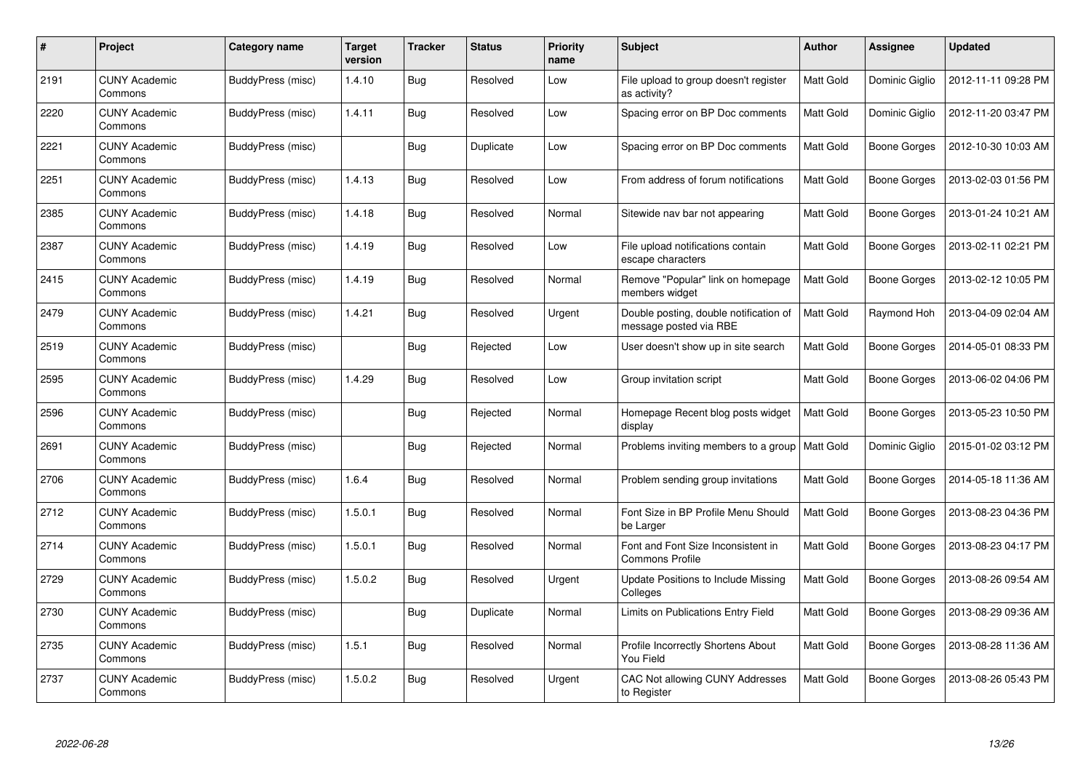| #    | Project                         | Category name            | <b>Target</b><br>version | <b>Tracker</b> | <b>Status</b> | <b>Priority</b><br>name | <b>Subject</b>                                                   | Author    | Assignee       | <b>Updated</b>      |
|------|---------------------------------|--------------------------|--------------------------|----------------|---------------|-------------------------|------------------------------------------------------------------|-----------|----------------|---------------------|
| 2191 | <b>CUNY Academic</b><br>Commons | BuddyPress (misc)        | 1.4.10                   | <b>Bug</b>     | Resolved      | Low                     | File upload to group doesn't register<br>as activity?            | Matt Gold | Dominic Giglio | 2012-11-11 09:28 PM |
| 2220 | <b>CUNY Academic</b><br>Commons | BuddyPress (misc)        | 1.4.11                   | Bug            | Resolved      | Low                     | Spacing error on BP Doc comments                                 | Matt Gold | Dominic Giglio | 2012-11-20 03:47 PM |
| 2221 | <b>CUNY Academic</b><br>Commons | BuddyPress (misc)        |                          | <b>Bug</b>     | Duplicate     | Low                     | Spacing error on BP Doc comments                                 | Matt Gold | Boone Gorges   | 2012-10-30 10:03 AM |
| 2251 | <b>CUNY Academic</b><br>Commons | <b>BuddyPress (misc)</b> | 1.4.13                   | <b>Bug</b>     | Resolved      | Low                     | From address of forum notifications                              | Matt Gold | Boone Gorges   | 2013-02-03 01:56 PM |
| 2385 | <b>CUNY Academic</b><br>Commons | BuddyPress (misc)        | 1.4.18                   | Bug            | Resolved      | Normal                  | Sitewide nav bar not appearing                                   | Matt Gold | Boone Gorges   | 2013-01-24 10:21 AM |
| 2387 | <b>CUNY Academic</b><br>Commons | <b>BuddyPress (misc)</b> | 1.4.19                   | Bug            | Resolved      | Low                     | File upload notifications contain<br>escape characters           | Matt Gold | Boone Gorges   | 2013-02-11 02:21 PM |
| 2415 | <b>CUNY Academic</b><br>Commons | BuddyPress (misc)        | 1.4.19                   | <b>Bug</b>     | Resolved      | Normal                  | Remove "Popular" link on homepage<br>members widget              | Matt Gold | Boone Gorges   | 2013-02-12 10:05 PM |
| 2479 | <b>CUNY Academic</b><br>Commons | BuddyPress (misc)        | 1.4.21                   | <b>Bug</b>     | Resolved      | Urgent                  | Double posting, double notification of<br>message posted via RBE | Matt Gold | Raymond Hoh    | 2013-04-09 02:04 AM |
| 2519 | <b>CUNY Academic</b><br>Commons | BuddyPress (misc)        |                          | Bug            | Rejected      | Low                     | User doesn't show up in site search                              | Matt Gold | Boone Gorges   | 2014-05-01 08:33 PM |
| 2595 | <b>CUNY Academic</b><br>Commons | BuddyPress (misc)        | 1.4.29                   | Bug            | Resolved      | Low                     | Group invitation script                                          | Matt Gold | Boone Gorges   | 2013-06-02 04:06 PM |
| 2596 | <b>CUNY Academic</b><br>Commons | BuddyPress (misc)        |                          | <b>Bug</b>     | Rejected      | Normal                  | Homepage Recent blog posts widget<br>display                     | Matt Gold | Boone Gorges   | 2013-05-23 10:50 PM |
| 2691 | <b>CUNY Academic</b><br>Commons | BuddyPress (misc)        |                          | <b>Bug</b>     | Rejected      | Normal                  | Problems inviting members to a group                             | Matt Gold | Dominic Giglio | 2015-01-02 03:12 PM |
| 2706 | <b>CUNY Academic</b><br>Commons | BuddyPress (misc)        | 1.6.4                    | Bug            | Resolved      | Normal                  | Problem sending group invitations                                | Matt Gold | Boone Gorges   | 2014-05-18 11:36 AM |
| 2712 | <b>CUNY Academic</b><br>Commons | BuddyPress (misc)        | 1.5.0.1                  | <b>Bug</b>     | Resolved      | Normal                  | Font Size in BP Profile Menu Should<br>be Larger                 | Matt Gold | Boone Gorges   | 2013-08-23 04:36 PM |
| 2714 | <b>CUNY Academic</b><br>Commons | BuddyPress (misc)        | 1.5.0.1                  | <b>Bug</b>     | Resolved      | Normal                  | Font and Font Size Inconsistent in<br><b>Commons Profile</b>     | Matt Gold | Boone Gorges   | 2013-08-23 04:17 PM |
| 2729 | <b>CUNY Academic</b><br>Commons | BuddyPress (misc)        | 1.5.0.2                  | <b>Bug</b>     | Resolved      | Urgent                  | <b>Update Positions to Include Missing</b><br>Colleges           | Matt Gold | Boone Gorges   | 2013-08-26 09:54 AM |
| 2730 | <b>CUNY Academic</b><br>Commons | BuddyPress (misc)        |                          | <b>Bug</b>     | Duplicate     | Normal                  | Limits on Publications Entry Field                               | Matt Gold | Boone Gorges   | 2013-08-29 09:36 AM |
| 2735 | <b>CUNY Academic</b><br>Commons | BuddyPress (misc)        | 1.5.1                    | <b>Bug</b>     | Resolved      | Normal                  | Profile Incorrectly Shortens About<br>You Field                  | Matt Gold | Boone Gorges   | 2013-08-28 11:36 AM |
| 2737 | <b>CUNY Academic</b><br>Commons | BuddyPress (misc)        | 1.5.0.2                  | <b>Bug</b>     | Resolved      | Urgent                  | <b>CAC Not allowing CUNY Addresses</b><br>to Register            | Matt Gold | Boone Gorges   | 2013-08-26 05:43 PM |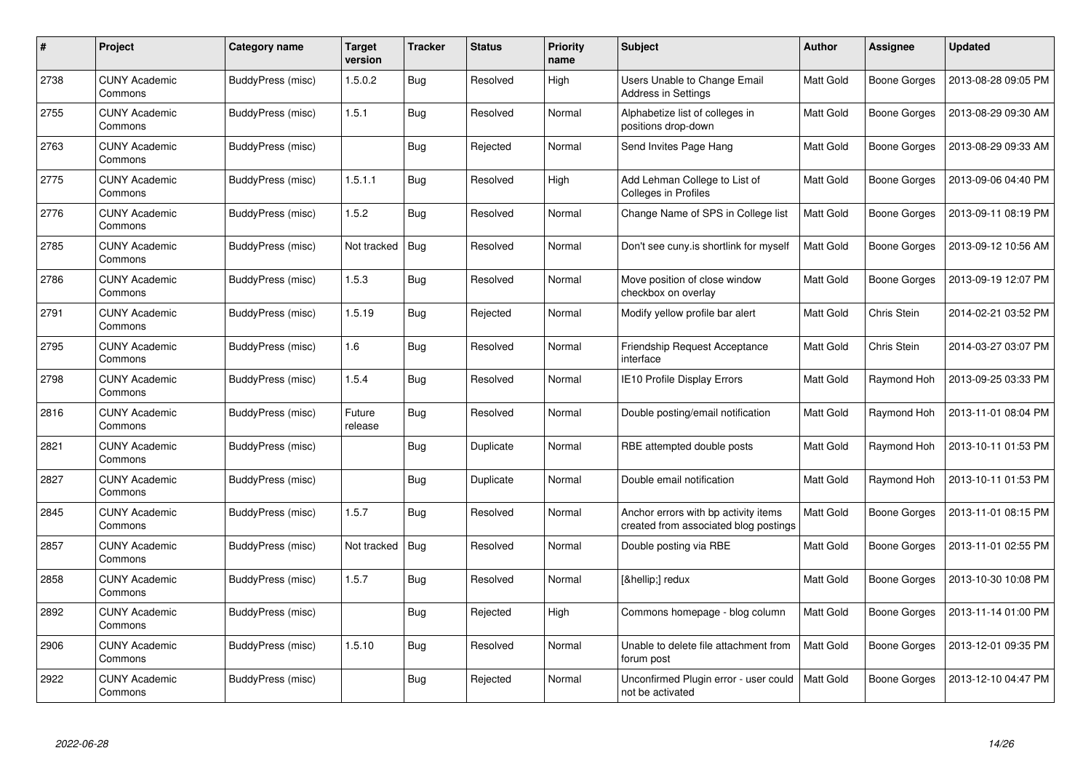| #    | Project                         | Category name     | <b>Target</b><br>version | <b>Tracker</b> | <b>Status</b> | <b>Priority</b><br>name | <b>Subject</b>                                                                | Author    | Assignee     | <b>Updated</b>      |
|------|---------------------------------|-------------------|--------------------------|----------------|---------------|-------------------------|-------------------------------------------------------------------------------|-----------|--------------|---------------------|
| 2738 | <b>CUNY Academic</b><br>Commons | BuddyPress (misc) | 1.5.0.2                  | <b>Bug</b>     | Resolved      | High                    | <b>Users Unable to Change Email</b><br><b>Address in Settings</b>             | Matt Gold | Boone Gorges | 2013-08-28 09:05 PM |
| 2755 | <b>CUNY Academic</b><br>Commons | BuddyPress (misc) | 1.5.1                    | Bug            | Resolved      | Normal                  | Alphabetize list of colleges in<br>positions drop-down                        | Matt Gold | Boone Gorges | 2013-08-29 09:30 AM |
| 2763 | <b>CUNY Academic</b><br>Commons | BuddyPress (misc) |                          | <b>Bug</b>     | Rejected      | Normal                  | Send Invites Page Hang                                                        | Matt Gold | Boone Gorges | 2013-08-29 09:33 AM |
| 2775 | <b>CUNY Academic</b><br>Commons | BuddyPress (misc) | 1.5.1.1                  | <b>Bug</b>     | Resolved      | High                    | Add Lehman College to List of<br><b>Colleges in Profiles</b>                  | Matt Gold | Boone Gorges | 2013-09-06 04:40 PM |
| 2776 | <b>CUNY Academic</b><br>Commons | BuddyPress (misc) | 1.5.2                    | Bug            | Resolved      | Normal                  | Change Name of SPS in College list                                            | Matt Gold | Boone Gorges | 2013-09-11 08:19 PM |
| 2785 | <b>CUNY Academic</b><br>Commons | BuddyPress (misc) | Not tracked              | Bug            | Resolved      | Normal                  | Don't see cuny.is shortlink for myself                                        | Matt Gold | Boone Gorges | 2013-09-12 10:56 AM |
| 2786 | <b>CUNY Academic</b><br>Commons | BuddyPress (misc) | 1.5.3                    | <b>Bug</b>     | Resolved      | Normal                  | Move position of close window<br>checkbox on overlay                          | Matt Gold | Boone Gorges | 2013-09-19 12:07 PM |
| 2791 | <b>CUNY Academic</b><br>Commons | BuddyPress (misc) | 1.5.19                   | <b>Bug</b>     | Rejected      | Normal                  | Modify yellow profile bar alert                                               | Matt Gold | Chris Stein  | 2014-02-21 03:52 PM |
| 2795 | <b>CUNY Academic</b><br>Commons | BuddyPress (misc) | 1.6                      | Bug            | Resolved      | Normal                  | <b>Friendship Request Acceptance</b><br>interface                             | Matt Gold | Chris Stein  | 2014-03-27 03:07 PM |
| 2798 | <b>CUNY Academic</b><br>Commons | BuddyPress (misc) | 1.5.4                    | <b>Bug</b>     | Resolved      | Normal                  | <b>IE10 Profile Display Errors</b>                                            | Matt Gold | Raymond Hoh  | 2013-09-25 03:33 PM |
| 2816 | <b>CUNY Academic</b><br>Commons | BuddyPress (misc) | Future<br>release        | <b>Bug</b>     | Resolved      | Normal                  | Double posting/email notification                                             | Matt Gold | Raymond Hoh  | 2013-11-01 08:04 PM |
| 2821 | <b>CUNY Academic</b><br>Commons | BuddyPress (misc) |                          | <b>Bug</b>     | Duplicate     | Normal                  | RBE attempted double posts                                                    | Matt Gold | Raymond Hoh  | 2013-10-11 01:53 PM |
| 2827 | <b>CUNY Academic</b><br>Commons | BuddyPress (misc) |                          | Bug            | Duplicate     | Normal                  | Double email notification                                                     | Matt Gold | Raymond Hoh  | 2013-10-11 01:53 PM |
| 2845 | <b>CUNY Academic</b><br>Commons | BuddyPress (misc) | 1.5.7                    | <b>Bug</b>     | Resolved      | Normal                  | Anchor errors with bp activity items<br>created from associated blog postings | Matt Gold | Boone Gorges | 2013-11-01 08:15 PM |
| 2857 | <b>CUNY Academic</b><br>Commons | BuddyPress (misc) | Not tracked              | <b>Bug</b>     | Resolved      | Normal                  | Double posting via RBE                                                        | Matt Gold | Boone Gorges | 2013-11-01 02:55 PM |
| 2858 | <b>CUNY Academic</b><br>Commons | BuddyPress (misc) | 1.5.7                    | <b>Bug</b>     | Resolved      | Normal                  | […] redux                                                                     | Matt Gold | Boone Gorges | 2013-10-30 10:08 PM |
| 2892 | <b>CUNY Academic</b><br>Commons | BuddyPress (misc) |                          | <b>Bug</b>     | Rejected      | High                    | Commons homepage - blog column                                                | Matt Gold | Boone Gorges | 2013-11-14 01:00 PM |
| 2906 | <b>CUNY Academic</b><br>Commons | BuddyPress (misc) | 1.5.10                   | <b>Bug</b>     | Resolved      | Normal                  | Unable to delete file attachment from<br>forum post                           | Matt Gold | Boone Gorges | 2013-12-01 09:35 PM |
| 2922 | CUNY Academic<br>Commons        | BuddyPress (misc) |                          | <b>Bug</b>     | Rejected      | Normal                  | Unconfirmed Plugin error - user could<br>not be activated                     | Matt Gold | Boone Gorges | 2013-12-10 04:47 PM |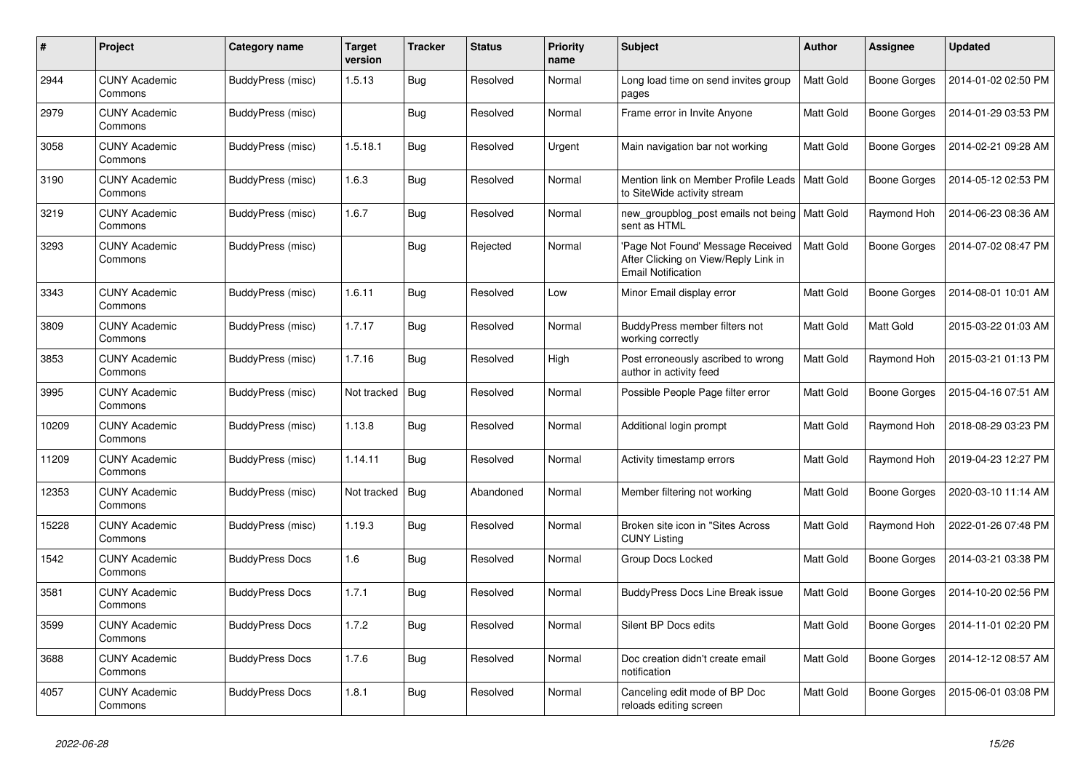| #     | Project                         | Category name          | <b>Target</b><br>version | <b>Tracker</b> | <b>Status</b> | <b>Priority</b><br>name | <b>Subject</b>                                                                                         | <b>Author</b>    | Assignee     | <b>Updated</b>      |
|-------|---------------------------------|------------------------|--------------------------|----------------|---------------|-------------------------|--------------------------------------------------------------------------------------------------------|------------------|--------------|---------------------|
| 2944  | <b>CUNY Academic</b><br>Commons | BuddyPress (misc)      | 1.5.13                   | <b>Bug</b>     | Resolved      | Normal                  | Long load time on send invites group<br>pages                                                          | Matt Gold        | Boone Gorges | 2014-01-02 02:50 PM |
| 2979  | <b>CUNY Academic</b><br>Commons | BuddyPress (misc)      |                          | <b>Bug</b>     | Resolved      | Normal                  | Frame error in Invite Anyone                                                                           | Matt Gold        | Boone Gorges | 2014-01-29 03:53 PM |
| 3058  | <b>CUNY Academic</b><br>Commons | BuddyPress (misc)      | 1.5.18.1                 | <b>Bug</b>     | Resolved      | Urgent                  | Main navigation bar not working                                                                        | Matt Gold        | Boone Gorges | 2014-02-21 09:28 AM |
| 3190  | <b>CUNY Academic</b><br>Commons | BuddyPress (misc)      | 1.6.3                    | <b>Bug</b>     | Resolved      | Normal                  | Mention link on Member Profile Leads<br>to SiteWide activity stream                                    | Matt Gold        | Boone Gorges | 2014-05-12 02:53 PM |
| 3219  | <b>CUNY Academic</b><br>Commons | BuddyPress (misc)      | 1.6.7                    | Bug            | Resolved      | Normal                  | new_groupblog_post emails not being<br>sent as HTML                                                    | <b>Matt Gold</b> | Raymond Hoh  | 2014-06-23 08:36 AM |
| 3293  | <b>CUNY Academic</b><br>Commons | BuddyPress (misc)      |                          | Bug            | Rejected      | Normal                  | 'Page Not Found' Message Received<br>After Clicking on View/Reply Link in<br><b>Email Notification</b> | Matt Gold        | Boone Gorges | 2014-07-02 08:47 PM |
| 3343  | <b>CUNY Academic</b><br>Commons | BuddyPress (misc)      | 1.6.11                   | <b>Bug</b>     | Resolved      | Low                     | Minor Email display error                                                                              | Matt Gold        | Boone Gorges | 2014-08-01 10:01 AM |
| 3809  | <b>CUNY Academic</b><br>Commons | BuddyPress (misc)      | 1.7.17                   | Bug            | Resolved      | Normal                  | BuddyPress member filters not<br>working correctly                                                     | Matt Gold        | Matt Gold    | 2015-03-22 01:03 AM |
| 3853  | <b>CUNY Academic</b><br>Commons | BuddyPress (misc)      | 1.7.16                   | <b>Bug</b>     | Resolved      | High                    | Post erroneously ascribed to wrong<br>author in activity feed                                          | Matt Gold        | Raymond Hoh  | 2015-03-21 01:13 PM |
| 3995  | <b>CUNY Academic</b><br>Commons | BuddyPress (misc)      | Not tracked              | <b>Bug</b>     | Resolved      | Normal                  | Possible People Page filter error                                                                      | Matt Gold        | Boone Gorges | 2015-04-16 07:51 AM |
| 10209 | <b>CUNY Academic</b><br>Commons | BuddyPress (misc)      | 1.13.8                   | Bug            | Resolved      | Normal                  | Additional login prompt                                                                                | Matt Gold        | Raymond Hoh  | 2018-08-29 03:23 PM |
| 11209 | <b>CUNY Academic</b><br>Commons | BuddyPress (misc)      | 1.14.11                  | <b>Bug</b>     | Resolved      | Normal                  | Activity timestamp errors                                                                              | Matt Gold        | Raymond Hoh  | 2019-04-23 12:27 PM |
| 12353 | <b>CUNY Academic</b><br>Commons | BuddyPress (misc)      | Not tracked              | <b>Bug</b>     | Abandoned     | Normal                  | Member filtering not working                                                                           | Matt Gold        | Boone Gorges | 2020-03-10 11:14 AM |
| 15228 | <b>CUNY Academic</b><br>Commons | BuddyPress (misc)      | 1.19.3                   | <b>Bug</b>     | Resolved      | Normal                  | Broken site icon in "Sites Across"<br><b>CUNY Listing</b>                                              | Matt Gold        | Raymond Hoh  | 2022-01-26 07:48 PM |
| 1542  | <b>CUNY Academic</b><br>Commons | <b>BuddyPress Docs</b> | 1.6                      | <b>Bug</b>     | Resolved      | Normal                  | Group Docs Locked                                                                                      | Matt Gold        | Boone Gorges | 2014-03-21 03:38 PM |
| 3581  | <b>CUNY Academic</b><br>Commons | <b>BuddyPress Docs</b> | 1.7.1                    | <b>Bug</b>     | Resolved      | Normal                  | <b>BuddyPress Docs Line Break issue</b>                                                                | Matt Gold        | Boone Gorges | 2014-10-20 02:56 PM |
| 3599  | <b>CUNY Academic</b><br>Commons | <b>BuddyPress Docs</b> | 1.7.2                    | <b>Bug</b>     | Resolved      | Normal                  | Silent BP Docs edits                                                                                   | Matt Gold        | Boone Gorges | 2014-11-01 02:20 PM |
| 3688  | <b>CUNY Academic</b><br>Commons | <b>BuddyPress Docs</b> | 1.7.6                    | <b>Bug</b>     | Resolved      | Normal                  | Doc creation didn't create email<br>notification                                                       | Matt Gold        | Boone Gorges | 2014-12-12 08:57 AM |
| 4057  | <b>CUNY Academic</b><br>Commons | <b>BuddyPress Docs</b> | 1.8.1                    | <b>Bug</b>     | Resolved      | Normal                  | Canceling edit mode of BP Doc<br>reloads editing screen                                                | Matt Gold        | Boone Gorges | 2015-06-01 03:08 PM |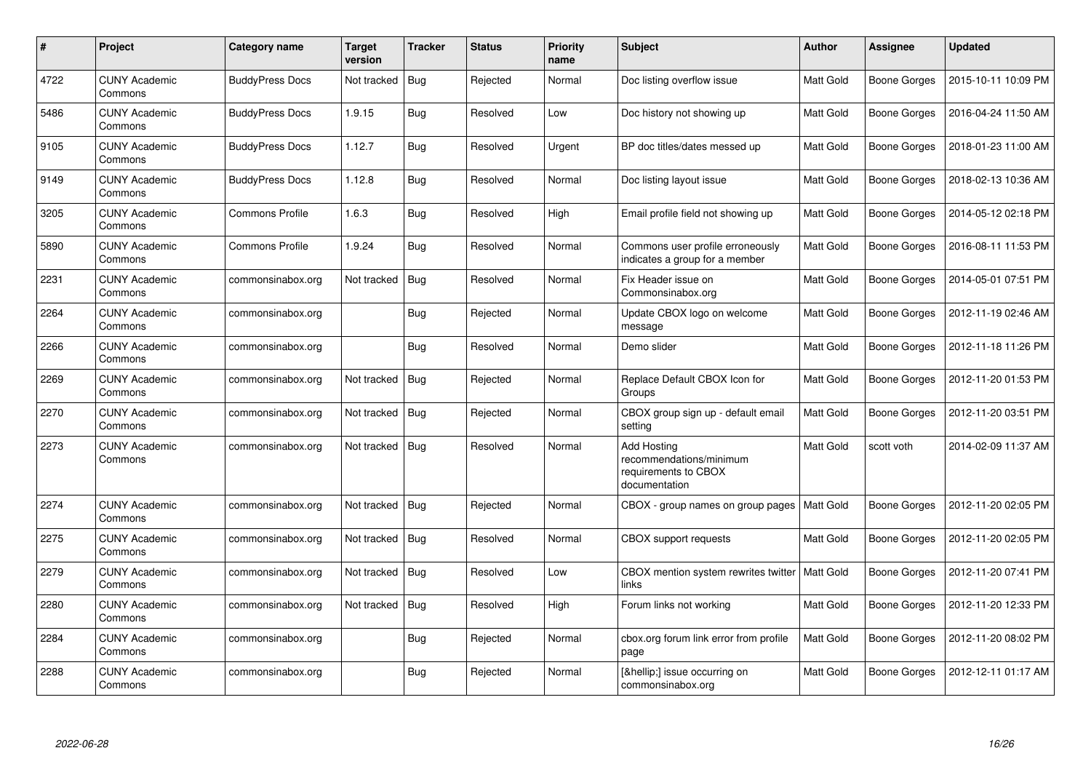| #    | Project                         | <b>Category name</b>   | <b>Target</b><br>version | <b>Tracker</b> | <b>Status</b> | <b>Priority</b><br>name | <b>Subject</b>                                                                         | <b>Author</b> | <b>Assignee</b>     | <b>Updated</b>      |
|------|---------------------------------|------------------------|--------------------------|----------------|---------------|-------------------------|----------------------------------------------------------------------------------------|---------------|---------------------|---------------------|
| 4722 | <b>CUNY Academic</b><br>Commons | <b>BuddyPress Docs</b> | Not tracked              | Bug            | Rejected      | Normal                  | Doc listing overflow issue                                                             | Matt Gold     | <b>Boone Gorges</b> | 2015-10-11 10:09 PM |
| 5486 | <b>CUNY Academic</b><br>Commons | <b>BuddyPress Docs</b> | 1.9.15                   | Bug            | Resolved      | Low                     | Doc history not showing up                                                             | Matt Gold     | <b>Boone Gorges</b> | 2016-04-24 11:50 AM |
| 9105 | <b>CUNY Academic</b><br>Commons | <b>BuddyPress Docs</b> | 1.12.7                   | Bug            | Resolved      | Urgent                  | BP doc titles/dates messed up                                                          | Matt Gold     | Boone Gorges        | 2018-01-23 11:00 AM |
| 9149 | <b>CUNY Academic</b><br>Commons | <b>BuddyPress Docs</b> | 1.12.8                   | <b>Bug</b>     | Resolved      | Normal                  | Doc listing layout issue                                                               | Matt Gold     | Boone Gorges        | 2018-02-13 10:36 AM |
| 3205 | <b>CUNY Academic</b><br>Commons | <b>Commons Profile</b> | 1.6.3                    | Bug            | Resolved      | High                    | Email profile field not showing up                                                     | Matt Gold     | Boone Gorges        | 2014-05-12 02:18 PM |
| 5890 | <b>CUNY Academic</b><br>Commons | Commons Profile        | 1.9.24                   | Bug            | Resolved      | Normal                  | Commons user profile erroneously<br>indicates a group for a member                     | Matt Gold     | <b>Boone Gorges</b> | 2016-08-11 11:53 PM |
| 2231 | <b>CUNY Academic</b><br>Commons | commonsinabox.org      | Not tracked              | Bug            | Resolved      | Normal                  | Fix Header issue on<br>Commonsinabox.org                                               | Matt Gold     | Boone Gorges        | 2014-05-01 07:51 PM |
| 2264 | <b>CUNY Academic</b><br>Commons | commonsinabox.org      |                          | Bug            | Rejected      | Normal                  | Update CBOX logo on welcome<br>message                                                 | Matt Gold     | Boone Gorges        | 2012-11-19 02:46 AM |
| 2266 | <b>CUNY Academic</b><br>Commons | commonsinabox.org      |                          | Bug            | Resolved      | Normal                  | Demo slider                                                                            | Matt Gold     | Boone Gorges        | 2012-11-18 11:26 PM |
| 2269 | <b>CUNY Academic</b><br>Commons | commonsinabox.org      | Not tracked              | Bug            | Rejected      | Normal                  | Replace Default CBOX Icon for<br>Groups                                                | Matt Gold     | <b>Boone Gorges</b> | 2012-11-20 01:53 PM |
| 2270 | <b>CUNY Academic</b><br>Commons | commonsinabox.org      | Not tracked              | Bug            | Rejected      | Normal                  | CBOX group sign up - default email<br>setting                                          | Matt Gold     | Boone Gorges        | 2012-11-20 03:51 PM |
| 2273 | <b>CUNY Academic</b><br>Commons | commonsinabox.org      | Not tracked              | Bug            | Resolved      | Normal                  | <b>Add Hosting</b><br>recommendations/minimum<br>requirements to CBOX<br>documentation | Matt Gold     | scott voth          | 2014-02-09 11:37 AM |
| 2274 | <b>CUNY Academic</b><br>Commons | commonsinabox.org      | Not tracked              | Bug            | Rejected      | Normal                  | CBOX - group names on group pages                                                      | Matt Gold     | Boone Gorges        | 2012-11-20 02:05 PM |
| 2275 | <b>CUNY Academic</b><br>Commons | commonsinabox.org      | Not tracked              | Bug            | Resolved      | Normal                  | <b>CBOX</b> support requests                                                           | Matt Gold     | Boone Gorges        | 2012-11-20 02:05 PM |
| 2279 | <b>CUNY Academic</b><br>Commons | commonsinabox.org      | Not tracked              | Bug            | Resolved      | Low                     | CBOX mention system rewrites twitter<br>links                                          | Matt Gold     | Boone Gorges        | 2012-11-20 07:41 PM |
| 2280 | <b>CUNY Academic</b><br>Commons | commonsinabox.org      | Not tracked              | Bug            | Resolved      | High                    | Forum links not working                                                                | Matt Gold     | Boone Gorges        | 2012-11-20 12:33 PM |
| 2284 | <b>CUNY Academic</b><br>Commons | commonsinabox.org      |                          | Bug            | Rejected      | Normal                  | cbox.org forum link error from profile<br>page                                         | Matt Gold     | Boone Gorges        | 2012-11-20 08:02 PM |
| 2288 | <b>CUNY Academic</b><br>Commons | commonsinabox.org      |                          | Bug            | Rejected      | Normal                  | […] issue occurring on<br>commonsinabox.org                                            | Matt Gold     | <b>Boone Gorges</b> | 2012-12-11 01:17 AM |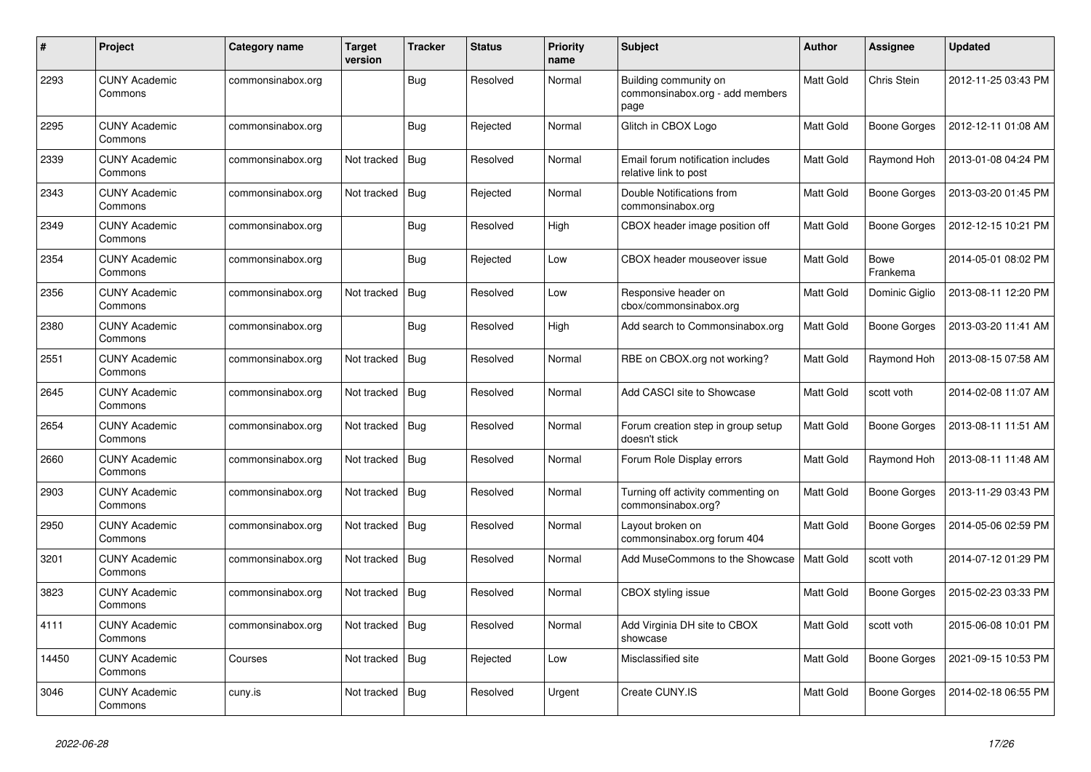| $\#$  | Project                         | Category name     | <b>Target</b><br>version | <b>Tracker</b> | <b>Status</b> | <b>Priority</b><br>name | <b>Subject</b>                                                   | <b>Author</b> | Assignee                | <b>Updated</b>      |
|-------|---------------------------------|-------------------|--------------------------|----------------|---------------|-------------------------|------------------------------------------------------------------|---------------|-------------------------|---------------------|
| 2293  | <b>CUNY Academic</b><br>Commons | commonsinabox.org |                          | Bug            | Resolved      | Normal                  | Building community on<br>commonsinabox.org - add members<br>page | Matt Gold     | Chris Stein             | 2012-11-25 03:43 PM |
| 2295  | <b>CUNY Academic</b><br>Commons | commonsinabox.org |                          | Bug            | Rejected      | Normal                  | Glitch in CBOX Logo                                              | Matt Gold     | Boone Gorges            | 2012-12-11 01:08 AM |
| 2339  | <b>CUNY Academic</b><br>Commons | commonsinabox.org | Not tracked              | Bug            | Resolved      | Normal                  | Email forum notification includes<br>relative link to post       | Matt Gold     | Raymond Hoh             | 2013-01-08 04:24 PM |
| 2343  | <b>CUNY Academic</b><br>Commons | commonsinabox.org | Not tracked              | Bug            | Rejected      | Normal                  | Double Notifications from<br>commonsinabox.org                   | Matt Gold     | <b>Boone Gorges</b>     | 2013-03-20 01:45 PM |
| 2349  | <b>CUNY Academic</b><br>Commons | commonsinabox.org |                          | <b>Bug</b>     | Resolved      | High                    | CBOX header image position off                                   | Matt Gold     | Boone Gorges            | 2012-12-15 10:21 PM |
| 2354  | <b>CUNY Academic</b><br>Commons | commonsinabox.org |                          | <b>Bug</b>     | Rejected      | Low                     | CBOX header mouseover issue                                      | Matt Gold     | <b>Bowe</b><br>Frankema | 2014-05-01 08:02 PM |
| 2356  | <b>CUNY Academic</b><br>Commons | commonsinabox.org | Not tracked              | Bug            | Resolved      | Low                     | Responsive header on<br>cbox/commonsinabox.org                   | Matt Gold     | Dominic Giglio          | 2013-08-11 12:20 PM |
| 2380  | <b>CUNY Academic</b><br>Commons | commonsinabox.org |                          | <b>Bug</b>     | Resolved      | High                    | Add search to Commonsinabox.org                                  | Matt Gold     | <b>Boone Gorges</b>     | 2013-03-20 11:41 AM |
| 2551  | <b>CUNY Academic</b><br>Commons | commonsinabox.org | Not tracked              | Bug            | Resolved      | Normal                  | RBE on CBOX.org not working?                                     | Matt Gold     | Raymond Hoh             | 2013-08-15 07:58 AM |
| 2645  | <b>CUNY Academic</b><br>Commons | commonsinabox.org | Not tracked              | Bug            | Resolved      | Normal                  | Add CASCI site to Showcase                                       | Matt Gold     | scott voth              | 2014-02-08 11:07 AM |
| 2654  | <b>CUNY Academic</b><br>Commons | commonsinabox.org | Not tracked              | Bug            | Resolved      | Normal                  | Forum creation step in group setup<br>doesn't stick              | Matt Gold     | Boone Gorges            | 2013-08-11 11:51 AM |
| 2660  | <b>CUNY Academic</b><br>Commons | commonsinabox.org | Not tracked              | <b>Bug</b>     | Resolved      | Normal                  | Forum Role Display errors                                        | Matt Gold     | Raymond Hoh             | 2013-08-11 11:48 AM |
| 2903  | <b>CUNY Academic</b><br>Commons | commonsinabox.org | Not tracked              | Bug            | Resolved      | Normal                  | Turning off activity commenting on<br>commonsinabox.org?         | Matt Gold     | Boone Gorges            | 2013-11-29 03:43 PM |
| 2950  | <b>CUNY Academic</b><br>Commons | commonsinabox.org | Not tracked              | <b>Bug</b>     | Resolved      | Normal                  | Layout broken on<br>commonsinabox.org forum 404                  | Matt Gold     | <b>Boone Gorges</b>     | 2014-05-06 02:59 PM |
| 3201  | <b>CUNY Academic</b><br>Commons | commonsinabox.org | Not tracked              | <b>Bug</b>     | Resolved      | Normal                  | Add MuseCommons to the Showcase                                  | Matt Gold     | scott voth              | 2014-07-12 01:29 PM |
| 3823  | <b>CUNY Academic</b><br>Commons | commonsinabox.org | Not tracked              | Bug            | Resolved      | Normal                  | CBOX styling issue                                               | Matt Gold     | <b>Boone Gorges</b>     | 2015-02-23 03:33 PM |
| 4111  | <b>CUNY Academic</b><br>Commons | commonsinabox.org | Not tracked              | Bug            | Resolved      | Normal                  | Add Virginia DH site to CBOX<br>showcase                         | Matt Gold     | scott voth              | 2015-06-08 10:01 PM |
| 14450 | <b>CUNY Academic</b><br>Commons | Courses           | Not tracked              | Bug            | Rejected      | Low                     | Misclassified site                                               | Matt Gold     | Boone Gorges            | 2021-09-15 10:53 PM |
| 3046  | <b>CUNY Academic</b><br>Commons | cuny.is           | Not tracked              | Bug            | Resolved      | Urgent                  | Create CUNY.IS                                                   | Matt Gold     | Boone Gorges            | 2014-02-18 06:55 PM |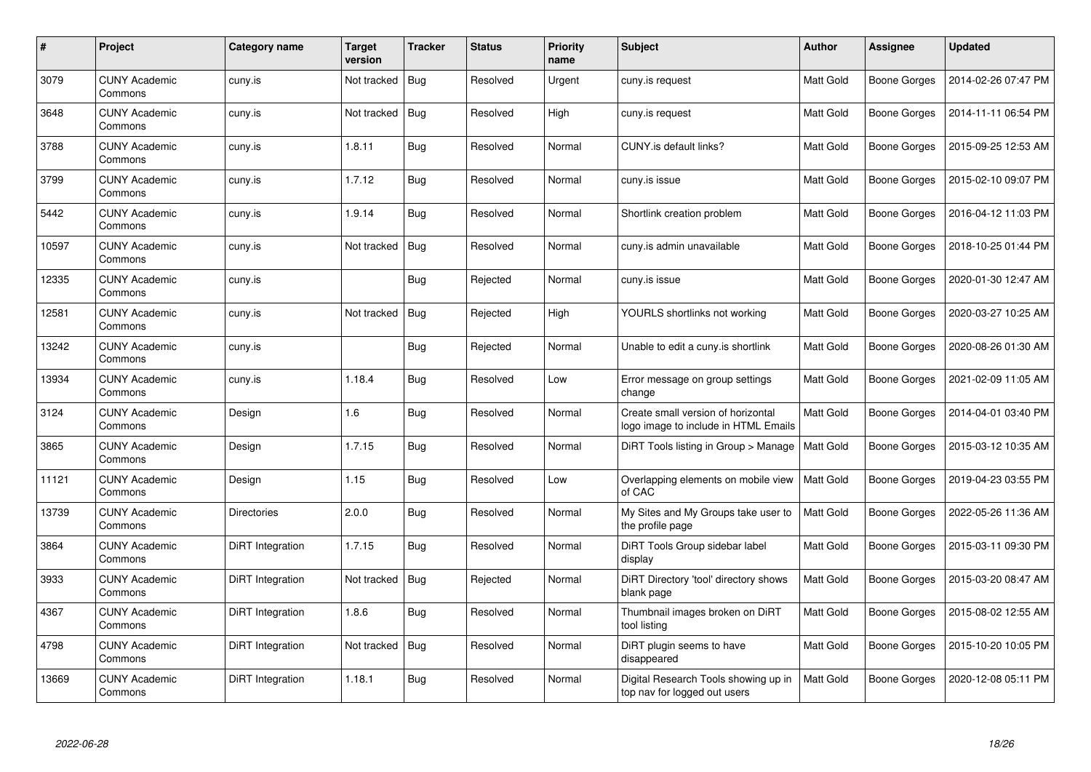| $\pmb{\#}$ | Project                         | <b>Category name</b> | <b>Target</b><br>version | <b>Tracker</b> | <b>Status</b> | <b>Priority</b><br>name | <b>Subject</b>                                                             | <b>Author</b> | <b>Assignee</b>     | <b>Updated</b>      |
|------------|---------------------------------|----------------------|--------------------------|----------------|---------------|-------------------------|----------------------------------------------------------------------------|---------------|---------------------|---------------------|
| 3079       | <b>CUNY Academic</b><br>Commons | cuny.is              | Not tracked              | Bug            | Resolved      | Urgent                  | cuny.is request                                                            | Matt Gold     | Boone Gorges        | 2014-02-26 07:47 PM |
| 3648       | <b>CUNY Academic</b><br>Commons | cuny.is              | Not tracked              | <b>Bug</b>     | Resolved      | High                    | cuny.is request                                                            | Matt Gold     | Boone Gorges        | 2014-11-11 06:54 PM |
| 3788       | <b>CUNY Academic</b><br>Commons | cuny.is              | 1.8.11                   | <b>Bug</b>     | Resolved      | Normal                  | CUNY.is default links?                                                     | Matt Gold     | <b>Boone Gorges</b> | 2015-09-25 12:53 AM |
| 3799       | <b>CUNY Academic</b><br>Commons | cuny.is              | 1.7.12                   | Bug            | Resolved      | Normal                  | cuny.is issue                                                              | Matt Gold     | Boone Gorges        | 2015-02-10 09:07 PM |
| 5442       | <b>CUNY Academic</b><br>Commons | cuny.is              | 1.9.14                   | <b>Bug</b>     | Resolved      | Normal                  | Shortlink creation problem                                                 | Matt Gold     | <b>Boone Gorges</b> | 2016-04-12 11:03 PM |
| 10597      | <b>CUNY Academic</b><br>Commons | cuny.is              | Not tracked              | <b>Bug</b>     | Resolved      | Normal                  | cuny.is admin unavailable                                                  | Matt Gold     | <b>Boone Gorges</b> | 2018-10-25 01:44 PM |
| 12335      | <b>CUNY Academic</b><br>Commons | cuny.is              |                          | Bug            | Rejected      | Normal                  | cuny.is issue                                                              | Matt Gold     | <b>Boone Gorges</b> | 2020-01-30 12:47 AM |
| 12581      | <b>CUNY Academic</b><br>Commons | cuny.is              | Not tracked              | <b>Bug</b>     | Rejected      | High                    | YOURLS shortlinks not working                                              | Matt Gold     | Boone Gorges        | 2020-03-27 10:25 AM |
| 13242      | <b>CUNY Academic</b><br>Commons | cuny.is              |                          | <b>Bug</b>     | Rejected      | Normal                  | Unable to edit a cuny is shortlink                                         | Matt Gold     | Boone Gorges        | 2020-08-26 01:30 AM |
| 13934      | <b>CUNY Academic</b><br>Commons | cuny.is              | 1.18.4                   | Bug            | Resolved      | Low                     | Error message on group settings<br>change                                  | Matt Gold     | Boone Gorges        | 2021-02-09 11:05 AM |
| 3124       | <b>CUNY Academic</b><br>Commons | Design               | 1.6                      | Bug            | Resolved      | Normal                  | Create small version of horizontal<br>logo image to include in HTML Emails | Matt Gold     | Boone Gorges        | 2014-04-01 03:40 PM |
| 3865       | <b>CUNY Academic</b><br>Commons | Design               | 1.7.15                   | Bug            | Resolved      | Normal                  | DiRT Tools listing in Group > Manage                                       | Matt Gold     | Boone Gorges        | 2015-03-12 10:35 AM |
| 11121      | <b>CUNY Academic</b><br>Commons | Design               | 1.15                     | Bug            | Resolved      | Low                     | Overlapping elements on mobile view<br>of CAC                              | Matt Gold     | <b>Boone Gorges</b> | 2019-04-23 03:55 PM |
| 13739      | <b>CUNY Academic</b><br>Commons | <b>Directories</b>   | 2.0.0                    | Bug            | Resolved      | Normal                  | My Sites and My Groups take user to<br>the profile page                    | Matt Gold     | Boone Gorges        | 2022-05-26 11:36 AM |
| 3864       | <b>CUNY Academic</b><br>Commons | DiRT Integration     | 1.7.15                   | Bug            | Resolved      | Normal                  | DiRT Tools Group sidebar label<br>display                                  | Matt Gold     | Boone Gorges        | 2015-03-11 09:30 PM |
| 3933       | <b>CUNY Academic</b><br>Commons | DiRT Integration     | Not tracked              | <b>Bug</b>     | Rejected      | Normal                  | DiRT Directory 'tool' directory shows<br>blank page                        | Matt Gold     | Boone Gorges        | 2015-03-20 08:47 AM |
| 4367       | <b>CUNY Academic</b><br>Commons | DiRT Integration     | 1.8.6                    | <b>Bug</b>     | Resolved      | Normal                  | Thumbnail images broken on DiRT<br>tool listing                            | Matt Gold     | <b>Boone Gorges</b> | 2015-08-02 12:55 AM |
| 4798       | <b>CUNY Academic</b><br>Commons | DiRT Integration     | Not tracked              | <b>Bug</b>     | Resolved      | Normal                  | DiRT plugin seems to have<br>disappeared                                   | Matt Gold     | Boone Gorges        | 2015-10-20 10:05 PM |
| 13669      | <b>CUNY Academic</b><br>Commons | DiRT Integration     | 1.18.1                   | <b>Bug</b>     | Resolved      | Normal                  | Digital Research Tools showing up in<br>top nav for logged out users       | Matt Gold     | <b>Boone Gorges</b> | 2020-12-08 05:11 PM |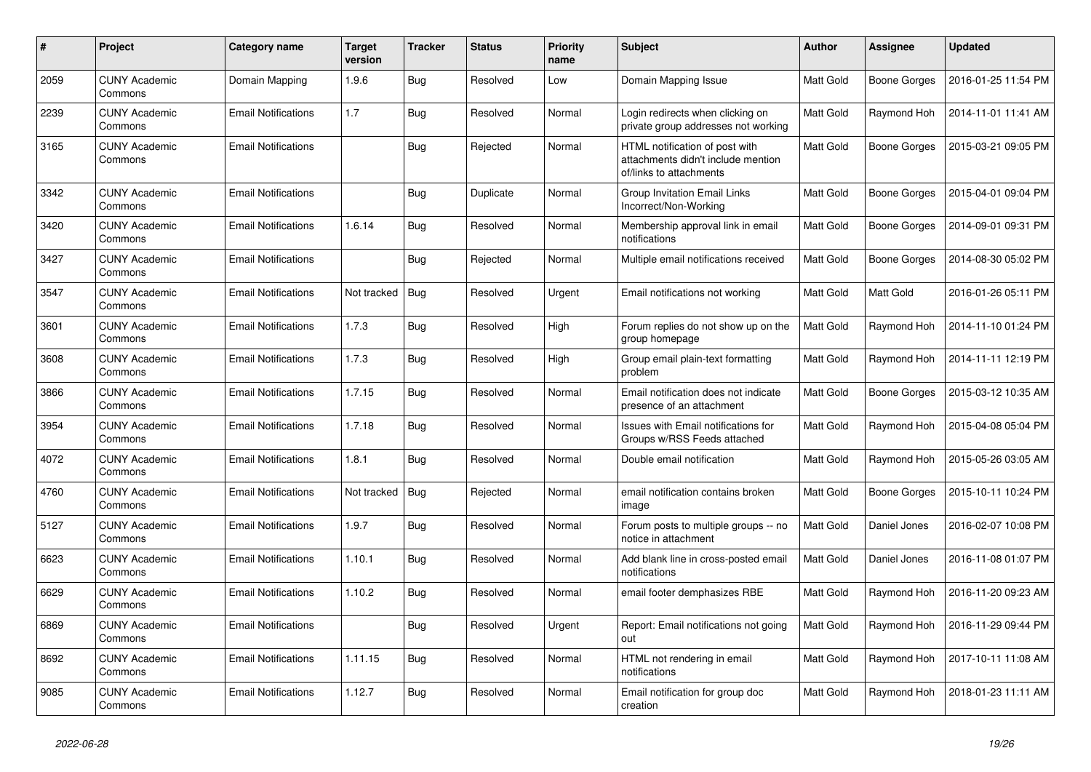| $\pmb{\#}$ | Project                         | Category name              | <b>Target</b><br>version | <b>Tracker</b> | <b>Status</b> | <b>Priority</b><br>name | <b>Subject</b>                                                                                  | <b>Author</b> | <b>Assignee</b>     | <b>Updated</b>      |
|------------|---------------------------------|----------------------------|--------------------------|----------------|---------------|-------------------------|-------------------------------------------------------------------------------------------------|---------------|---------------------|---------------------|
| 2059       | <b>CUNY Academic</b><br>Commons | Domain Mapping             | 1.9.6                    | Bug            | Resolved      | Low                     | Domain Mapping Issue                                                                            | Matt Gold     | <b>Boone Gorges</b> | 2016-01-25 11:54 PM |
| 2239       | <b>CUNY Academic</b><br>Commons | <b>Email Notifications</b> | 1.7                      | <b>Bug</b>     | Resolved      | Normal                  | Login redirects when clicking on<br>private group addresses not working                         | Matt Gold     | Raymond Hoh         | 2014-11-01 11:41 AM |
| 3165       | <b>CUNY Academic</b><br>Commons | <b>Email Notifications</b> |                          | Bug            | Rejected      | Normal                  | HTML notification of post with<br>attachments didn't include mention<br>of/links to attachments | Matt Gold     | Boone Gorges        | 2015-03-21 09:05 PM |
| 3342       | <b>CUNY Academic</b><br>Commons | <b>Email Notifications</b> |                          | Bug            | Duplicate     | Normal                  | Group Invitation Email Links<br>Incorrect/Non-Working                                           | Matt Gold     | Boone Gorges        | 2015-04-01 09:04 PM |
| 3420       | <b>CUNY Academic</b><br>Commons | <b>Email Notifications</b> | 1.6.14                   | Bug            | Resolved      | Normal                  | Membership approval link in email<br>notifications                                              | Matt Gold     | Boone Gorges        | 2014-09-01 09:31 PM |
| 3427       | <b>CUNY Academic</b><br>Commons | <b>Email Notifications</b> |                          | Bug            | Rejected      | Normal                  | Multiple email notifications received                                                           | Matt Gold     | Boone Gorges        | 2014-08-30 05:02 PM |
| 3547       | <b>CUNY Academic</b><br>Commons | <b>Email Notifications</b> | Not tracked              | Bug            | Resolved      | Urgent                  | Email notifications not working                                                                 | Matt Gold     | Matt Gold           | 2016-01-26 05:11 PM |
| 3601       | <b>CUNY Academic</b><br>Commons | <b>Email Notifications</b> | 1.7.3                    | Bug            | Resolved      | High                    | Forum replies do not show up on the<br>group homepage                                           | Matt Gold     | Raymond Hoh         | 2014-11-10 01:24 PM |
| 3608       | <b>CUNY Academic</b><br>Commons | <b>Email Notifications</b> | 1.7.3                    | Bug            | Resolved      | High                    | Group email plain-text formatting<br>problem                                                    | Matt Gold     | Raymond Hoh         | 2014-11-11 12:19 PM |
| 3866       | <b>CUNY Academic</b><br>Commons | <b>Email Notifications</b> | 1.7.15                   | Bug            | Resolved      | Normal                  | Email notification does not indicate<br>presence of an attachment                               | Matt Gold     | <b>Boone Gorges</b> | 2015-03-12 10:35 AM |
| 3954       | <b>CUNY Academic</b><br>Commons | <b>Email Notifications</b> | 1.7.18                   | Bug            | Resolved      | Normal                  | Issues with Email notifications for<br>Groups w/RSS Feeds attached                              | Matt Gold     | Raymond Hoh         | 2015-04-08 05:04 PM |
| 4072       | <b>CUNY Academic</b><br>Commons | <b>Email Notifications</b> | 1.8.1                    | <b>Bug</b>     | Resolved      | Normal                  | Double email notification                                                                       | Matt Gold     | Raymond Hoh         | 2015-05-26 03:05 AM |
| 4760       | <b>CUNY Academic</b><br>Commons | <b>Email Notifications</b> | Not tracked              | Bug            | Rejected      | Normal                  | email notification contains broken<br>image                                                     | Matt Gold     | Boone Gorges        | 2015-10-11 10:24 PM |
| 5127       | <b>CUNY Academic</b><br>Commons | <b>Email Notifications</b> | 1.9.7                    | Bug            | Resolved      | Normal                  | Forum posts to multiple groups -- no<br>notice in attachment                                    | Matt Gold     | Daniel Jones        | 2016-02-07 10:08 PM |
| 6623       | <b>CUNY Academic</b><br>Commons | <b>Email Notifications</b> | 1.10.1                   | Bug            | Resolved      | Normal                  | Add blank line in cross-posted email<br>notifications                                           | Matt Gold     | Daniel Jones        | 2016-11-08 01:07 PM |
| 6629       | <b>CUNY Academic</b><br>Commons | <b>Email Notifications</b> | 1.10.2                   | Bug            | Resolved      | Normal                  | email footer demphasizes RBE                                                                    | Matt Gold     | Raymond Hoh         | 2016-11-20 09:23 AM |
| 6869       | <b>CUNY Academic</b><br>Commons | <b>Email Notifications</b> |                          | Bug            | Resolved      | Urgent                  | Report: Email notifications not going<br>out                                                    | Matt Gold     | Raymond Hoh         | 2016-11-29 09:44 PM |
| 8692       | <b>CUNY Academic</b><br>Commons | <b>Email Notifications</b> | 1.11.15                  | <b>Bug</b>     | Resolved      | Normal                  | HTML not rendering in email<br>notifications                                                    | Matt Gold     | Raymond Hoh         | 2017-10-11 11:08 AM |
| 9085       | <b>CUNY Academic</b><br>Commons | <b>Email Notifications</b> | 1.12.7                   | Bug            | Resolved      | Normal                  | Email notification for group doc<br>creation                                                    | Matt Gold     | Raymond Hoh         | 2018-01-23 11:11 AM |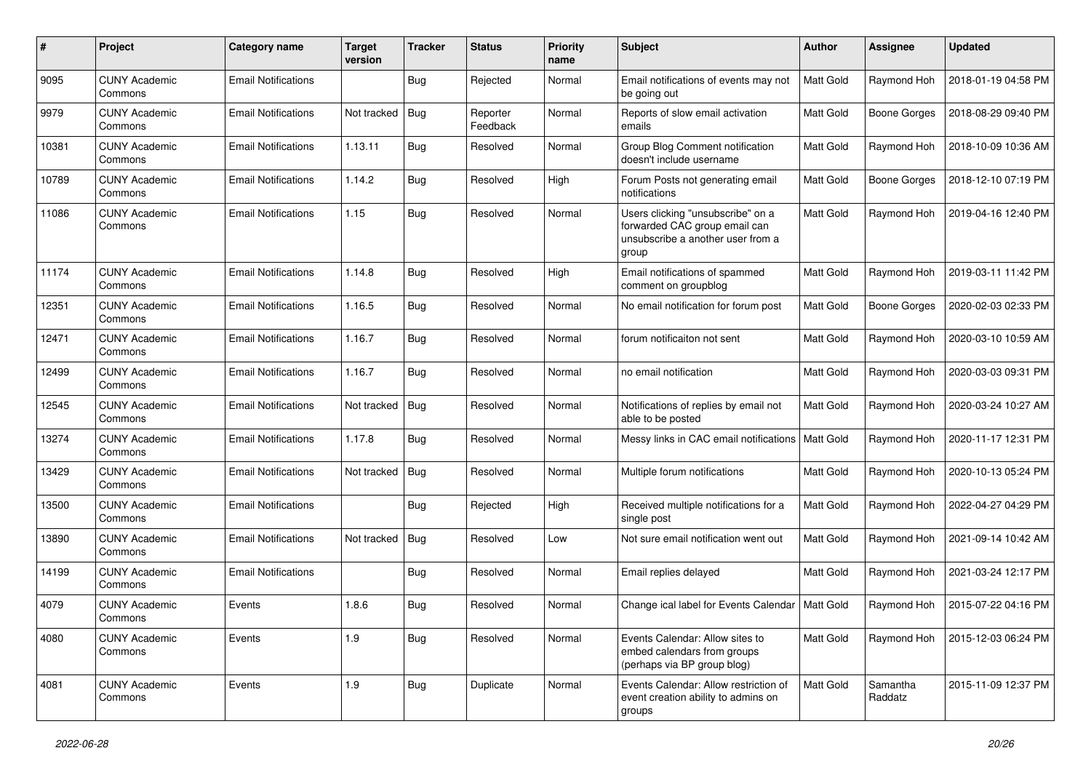| #     | Project                         | <b>Category name</b>       | <b>Target</b><br>version | <b>Tracker</b> | <b>Status</b>        | <b>Priority</b><br>name | Subject                                                                                                          | <b>Author</b> | Assignee            | <b>Updated</b>      |
|-------|---------------------------------|----------------------------|--------------------------|----------------|----------------------|-------------------------|------------------------------------------------------------------------------------------------------------------|---------------|---------------------|---------------------|
| 9095  | <b>CUNY Academic</b><br>Commons | <b>Email Notifications</b> |                          | <b>Bug</b>     | Rejected             | Normal                  | Email notifications of events may not<br>be going out                                                            | Matt Gold     | Raymond Hoh         | 2018-01-19 04:58 PM |
| 9979  | <b>CUNY Academic</b><br>Commons | <b>Email Notifications</b> | Not tracked              | <b>Bug</b>     | Reporter<br>Feedback | Normal                  | Reports of slow email activation<br>emails                                                                       | Matt Gold     | <b>Boone Gorges</b> | 2018-08-29 09:40 PM |
| 10381 | <b>CUNY Academic</b><br>Commons | <b>Email Notifications</b> | 1.13.11                  | Bug            | Resolved             | Normal                  | Group Blog Comment notification<br>doesn't include username                                                      | Matt Gold     | Raymond Hoh         | 2018-10-09 10:36 AM |
| 10789 | <b>CUNY Academic</b><br>Commons | <b>Email Notifications</b> | 1.14.2                   | <b>Bug</b>     | Resolved             | High                    | Forum Posts not generating email<br>notifications                                                                | Matt Gold     | <b>Boone Gorges</b> | 2018-12-10 07:19 PM |
| 11086 | <b>CUNY Academic</b><br>Commons | <b>Email Notifications</b> | 1.15                     | <b>Bug</b>     | Resolved             | Normal                  | Users clicking "unsubscribe" on a<br>forwarded CAC group email can<br>unsubscribe a another user from a<br>group | Matt Gold     | Raymond Hoh         | 2019-04-16 12:40 PM |
| 11174 | <b>CUNY Academic</b><br>Commons | <b>Email Notifications</b> | 1.14.8                   | Bug            | Resolved             | High                    | Email notifications of spammed<br>comment on groupblog                                                           | Matt Gold     | Raymond Hoh         | 2019-03-11 11:42 PM |
| 12351 | <b>CUNY Academic</b><br>Commons | <b>Email Notifications</b> | 1.16.5                   | <b>Bug</b>     | Resolved             | Normal                  | No email notification for forum post                                                                             | Matt Gold     | <b>Boone Gorges</b> | 2020-02-03 02:33 PM |
| 12471 | <b>CUNY Academic</b><br>Commons | <b>Email Notifications</b> | 1.16.7                   | Bug            | Resolved             | Normal                  | forum notificaiton not sent                                                                                      | Matt Gold     | Raymond Hoh         | 2020-03-10 10:59 AM |
| 12499 | <b>CUNY Academic</b><br>Commons | <b>Email Notifications</b> | 1.16.7                   | <b>Bug</b>     | Resolved             | Normal                  | no email notification                                                                                            | Matt Gold     | Raymond Hoh         | 2020-03-03 09:31 PM |
| 12545 | <b>CUNY Academic</b><br>Commons | <b>Email Notifications</b> | Not tracked              | Bug            | Resolved             | Normal                  | Notifications of replies by email not<br>able to be posted                                                       | Matt Gold     | Raymond Hoh         | 2020-03-24 10:27 AM |
| 13274 | <b>CUNY Academic</b><br>Commons | <b>Email Notifications</b> | 1.17.8                   | <b>Bug</b>     | Resolved             | Normal                  | Messy links in CAC email notifications                                                                           | Matt Gold     | Raymond Hoh         | 2020-11-17 12:31 PM |
| 13429 | <b>CUNY Academic</b><br>Commons | <b>Email Notifications</b> | Not tracked              | <b>Bug</b>     | Resolved             | Normal                  | Multiple forum notifications                                                                                     | Matt Gold     | Raymond Hoh         | 2020-10-13 05:24 PM |
| 13500 | <b>CUNY Academic</b><br>Commons | <b>Email Notifications</b> |                          | Bug            | Rejected             | High                    | Received multiple notifications for a<br>single post                                                             | Matt Gold     | Raymond Hoh         | 2022-04-27 04:29 PM |
| 13890 | <b>CUNY Academic</b><br>Commons | <b>Email Notifications</b> | Not tracked              | <b>Bug</b>     | Resolved             | Low                     | Not sure email notification went out                                                                             | Matt Gold     | Raymond Hoh         | 2021-09-14 10:42 AM |
| 14199 | <b>CUNY Academic</b><br>Commons | <b>Email Notifications</b> |                          | <b>Bug</b>     | Resolved             | Normal                  | Email replies delayed                                                                                            | Matt Gold     | Raymond Hoh         | 2021-03-24 12:17 PM |
| 4079  | <b>CUNY Academic</b><br>Commons | Events                     | 1.8.6                    | Bug            | Resolved             | Normal                  | Change ical label for Events Calendar                                                                            | Matt Gold     | Raymond Hoh         | 2015-07-22 04:16 PM |
| 4080  | <b>CUNY Academic</b><br>Commons | Events                     | 1.9                      | Bug            | Resolved             | Normal                  | Events Calendar: Allow sites to<br>embed calendars from groups<br>(perhaps via BP group blog)                    | Matt Gold     | Raymond Hoh         | 2015-12-03 06:24 PM |
| 4081  | <b>CUNY Academic</b><br>Commons | Events                     | 1.9                      | <b>Bug</b>     | Duplicate            | Normal                  | Events Calendar: Allow restriction of<br>event creation ability to admins on<br>groups                           | Matt Gold     | Samantha<br>Raddatz | 2015-11-09 12:37 PM |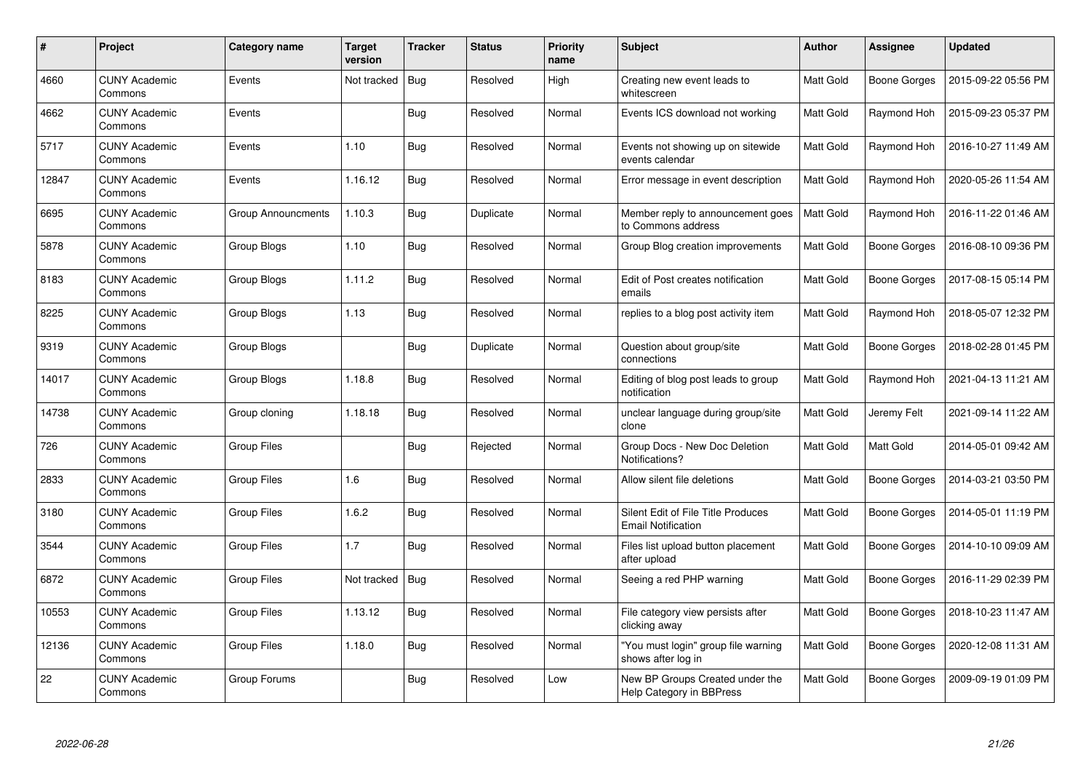| $\#$  | <b>Project</b>                  | Category name      | <b>Target</b><br>version | <b>Tracker</b> | <b>Status</b> | <b>Priority</b><br>name | <b>Subject</b>                                                  | Author    | Assignee            | <b>Updated</b>      |
|-------|---------------------------------|--------------------|--------------------------|----------------|---------------|-------------------------|-----------------------------------------------------------------|-----------|---------------------|---------------------|
| 4660  | <b>CUNY Academic</b><br>Commons | Events             | Not tracked              | Bug            | Resolved      | High                    | Creating new event leads to<br>whitescreen                      | Matt Gold | <b>Boone Gorges</b> | 2015-09-22 05:56 PM |
| 4662  | <b>CUNY Academic</b><br>Commons | Events             |                          | Bug            | Resolved      | Normal                  | Events ICS download not working                                 | Matt Gold | Raymond Hoh         | 2015-09-23 05:37 PM |
| 5717  | <b>CUNY Academic</b><br>Commons | Events             | 1.10                     | <b>Bug</b>     | Resolved      | Normal                  | Events not showing up on sitewide<br>events calendar            | Matt Gold | Raymond Hoh         | 2016-10-27 11:49 AM |
| 12847 | <b>CUNY Academic</b><br>Commons | Events             | 1.16.12                  | Bug            | Resolved      | Normal                  | Error message in event description                              | Matt Gold | Raymond Hoh         | 2020-05-26 11:54 AM |
| 6695  | <b>CUNY Academic</b><br>Commons | Group Announcments | 1.10.3                   | Bug            | Duplicate     | Normal                  | Member reply to announcement goes<br>to Commons address         | Matt Gold | Raymond Hoh         | 2016-11-22 01:46 AM |
| 5878  | <b>CUNY Academic</b><br>Commons | Group Blogs        | 1.10                     | <b>Bug</b>     | Resolved      | Normal                  | Group Blog creation improvements                                | Matt Gold | Boone Gorges        | 2016-08-10 09:36 PM |
| 8183  | <b>CUNY Academic</b><br>Commons | Group Blogs        | 1.11.2                   | Bug            | Resolved      | Normal                  | Edit of Post creates notification<br>emails                     | Matt Gold | Boone Gorges        | 2017-08-15 05:14 PM |
| 8225  | <b>CUNY Academic</b><br>Commons | Group Blogs        | 1.13                     | Bug            | Resolved      | Normal                  | replies to a blog post activity item                            | Matt Gold | Raymond Hoh         | 2018-05-07 12:32 PM |
| 9319  | <b>CUNY Academic</b><br>Commons | Group Blogs        |                          | Bug            | Duplicate     | Normal                  | Question about group/site<br>connections                        | Matt Gold | <b>Boone Gorges</b> | 2018-02-28 01:45 PM |
| 14017 | <b>CUNY Academic</b><br>Commons | Group Blogs        | 1.18.8                   | Bug            | Resolved      | Normal                  | Editing of blog post leads to group<br>notification             | Matt Gold | Raymond Hoh         | 2021-04-13 11:21 AM |
| 14738 | <b>CUNY Academic</b><br>Commons | Group cloning      | 1.18.18                  | Bug            | Resolved      | Normal                  | unclear language during group/site<br>clone                     | Matt Gold | Jeremy Felt         | 2021-09-14 11:22 AM |
| 726   | <b>CUNY Academic</b><br>Commons | Group Files        |                          | <b>Bug</b>     | Rejected      | Normal                  | Group Docs - New Doc Deletion<br>Notifications?                 | Matt Gold | Matt Gold           | 2014-05-01 09:42 AM |
| 2833  | <b>CUNY Academic</b><br>Commons | <b>Group Files</b> | 1.6                      | Bug            | Resolved      | Normal                  | Allow silent file deletions                                     | Matt Gold | Boone Gorges        | 2014-03-21 03:50 PM |
| 3180  | <b>CUNY Academic</b><br>Commons | Group Files        | 1.6.2                    | Bug            | Resolved      | Normal                  | Silent Edit of File Title Produces<br><b>Email Notification</b> | Matt Gold | Boone Gorges        | 2014-05-01 11:19 PM |
| 3544  | <b>CUNY Academic</b><br>Commons | Group Files        | 1.7                      | <b>Bug</b>     | Resolved      | Normal                  | Files list upload button placement<br>after upload              | Matt Gold | Boone Gorges        | 2014-10-10 09:09 AM |
| 6872  | <b>CUNY Academic</b><br>Commons | <b>Group Files</b> | Not tracked              | Bug            | Resolved      | Normal                  | Seeing a red PHP warning                                        | Matt Gold | Boone Gorges        | 2016-11-29 02:39 PM |
| 10553 | <b>CUNY Academic</b><br>Commons | Group Files        | 1.13.12                  | Bug            | Resolved      | Normal                  | File category view persists after<br>clicking away              | Matt Gold | Boone Gorges        | 2018-10-23 11:47 AM |
| 12136 | <b>CUNY Academic</b><br>Commons | <b>Group Files</b> | 1.18.0                   | Bug            | Resolved      | Normal                  | "You must login" group file warning<br>shows after log in       | Matt Gold | Boone Gorges        | 2020-12-08 11:31 AM |
| 22    | <b>CUNY Academic</b><br>Commons | Group Forums       |                          | <b>Bug</b>     | Resolved      | Low                     | New BP Groups Created under the<br>Help Category in BBPress     | Matt Gold | Boone Gorges        | 2009-09-19 01:09 PM |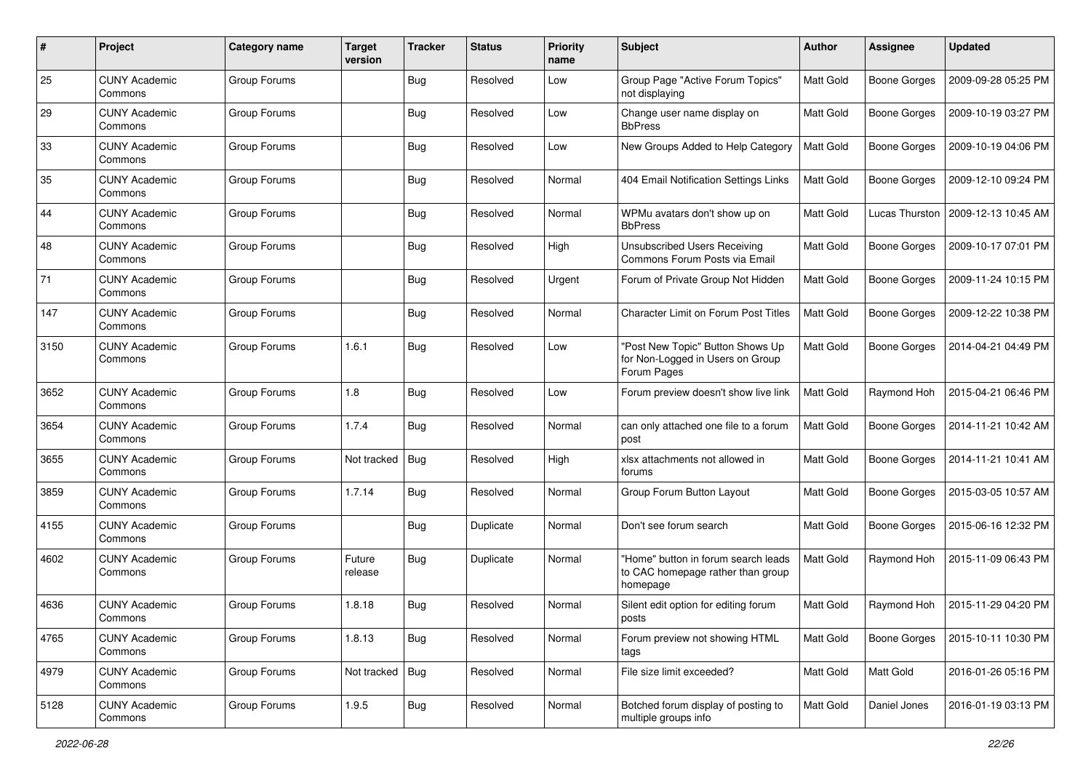| #    | Project                         | Category name | <b>Target</b><br>version | <b>Tracker</b> | <b>Status</b> | <b>Priority</b><br>name | Subject                                                                              | Author    | <b>Assignee</b>     | <b>Updated</b>      |
|------|---------------------------------|---------------|--------------------------|----------------|---------------|-------------------------|--------------------------------------------------------------------------------------|-----------|---------------------|---------------------|
| 25   | <b>CUNY Academic</b><br>Commons | Group Forums  |                          | Bug            | Resolved      | Low                     | Group Page "Active Forum Topics"<br>not displaying                                   | Matt Gold | <b>Boone Gorges</b> | 2009-09-28 05:25 PM |
| 29   | <b>CUNY Academic</b><br>Commons | Group Forums  |                          | <b>Bug</b>     | Resolved      | Low                     | Change user name display on<br><b>BbPress</b>                                        | Matt Gold | <b>Boone Gorges</b> | 2009-10-19 03:27 PM |
| 33   | <b>CUNY Academic</b><br>Commons | Group Forums  |                          | Bug            | Resolved      | Low                     | New Groups Added to Help Category                                                    | Matt Gold | <b>Boone Gorges</b> | 2009-10-19 04:06 PM |
| 35   | <b>CUNY Academic</b><br>Commons | Group Forums  |                          | Bug            | Resolved      | Normal                  | 404 Email Notification Settings Links                                                | Matt Gold | <b>Boone Gorges</b> | 2009-12-10 09:24 PM |
| 44   | <b>CUNY Academic</b><br>Commons | Group Forums  |                          | Bug            | Resolved      | Normal                  | WPMu avatars don't show up on<br><b>BbPress</b>                                      | Matt Gold | Lucas Thurston      | 2009-12-13 10:45 AM |
| 48   | <b>CUNY Academic</b><br>Commons | Group Forums  |                          | Bug            | Resolved      | High                    | Unsubscribed Users Receiving<br>Commons Forum Posts via Email                        | Matt Gold | <b>Boone Gorges</b> | 2009-10-17 07:01 PM |
| 71   | <b>CUNY Academic</b><br>Commons | Group Forums  |                          | Bug            | Resolved      | Urgent                  | Forum of Private Group Not Hidden                                                    | Matt Gold | <b>Boone Gorges</b> | 2009-11-24 10:15 PM |
| 147  | <b>CUNY Academic</b><br>Commons | Group Forums  |                          | Bug            | Resolved      | Normal                  | <b>Character Limit on Forum Post Titles</b>                                          | Matt Gold | <b>Boone Gorges</b> | 2009-12-22 10:38 PM |
| 3150 | <b>CUNY Academic</b><br>Commons | Group Forums  | 1.6.1                    | Bug            | Resolved      | Low                     | "Post New Topic" Button Shows Up<br>for Non-Logged in Users on Group<br>Forum Pages  | Matt Gold | <b>Boone Gorges</b> | 2014-04-21 04:49 PM |
| 3652 | <b>CUNY Academic</b><br>Commons | Group Forums  | 1.8                      | Bug            | Resolved      | Low                     | Forum preview doesn't show live link                                                 | Matt Gold | Raymond Hoh         | 2015-04-21 06:46 PM |
| 3654 | <b>CUNY Academic</b><br>Commons | Group Forums  | 1.7.4                    | <b>Bug</b>     | Resolved      | Normal                  | can only attached one file to a forum<br>post                                        | Matt Gold | <b>Boone Gorges</b> | 2014-11-21 10:42 AM |
| 3655 | <b>CUNY Academic</b><br>Commons | Group Forums  | Not tracked              | Bug            | Resolved      | High                    | xlsx attachments not allowed in<br>forums                                            | Matt Gold | <b>Boone Gorges</b> | 2014-11-21 10:41 AM |
| 3859 | <b>CUNY Academic</b><br>Commons | Group Forums  | 1.7.14                   | Bug            | Resolved      | Normal                  | Group Forum Button Layout                                                            | Matt Gold | <b>Boone Gorges</b> | 2015-03-05 10:57 AM |
| 4155 | <b>CUNY Academic</b><br>Commons | Group Forums  |                          | <b>Bug</b>     | Duplicate     | Normal                  | Don't see forum search                                                               | Matt Gold | <b>Boone Gorges</b> | 2015-06-16 12:32 PM |
| 4602 | <b>CUNY Academic</b><br>Commons | Group Forums  | Future<br>release        | <b>Bug</b>     | Duplicate     | Normal                  | "Home" button in forum search leads<br>to CAC homepage rather than group<br>homepage | Matt Gold | Raymond Hoh         | 2015-11-09 06:43 PM |
| 4636 | <b>CUNY Academic</b><br>Commons | Group Forums  | 1.8.18                   | Bug            | Resolved      | Normal                  | Silent edit option for editing forum<br>posts                                        | Matt Gold | Raymond Hoh         | 2015-11-29 04:20 PM |
| 4765 | <b>CUNY Academic</b><br>Commons | Group Forums  | 1.8.13                   | <b>Bug</b>     | Resolved      | Normal                  | Forum preview not showing HTML<br>tags                                               | Matt Gold | Boone Gorges        | 2015-10-11 10:30 PM |
| 4979 | <b>CUNY Academic</b><br>Commons | Group Forums  | Not tracked              | Bug            | Resolved      | Normal                  | File size limit exceeded?                                                            | Matt Gold | Matt Gold           | 2016-01-26 05:16 PM |
| 5128 | <b>CUNY Academic</b><br>Commons | Group Forums  | 1.9.5                    | <b>Bug</b>     | Resolved      | Normal                  | Botched forum display of posting to<br>multiple groups info                          | Matt Gold | Daniel Jones        | 2016-01-19 03:13 PM |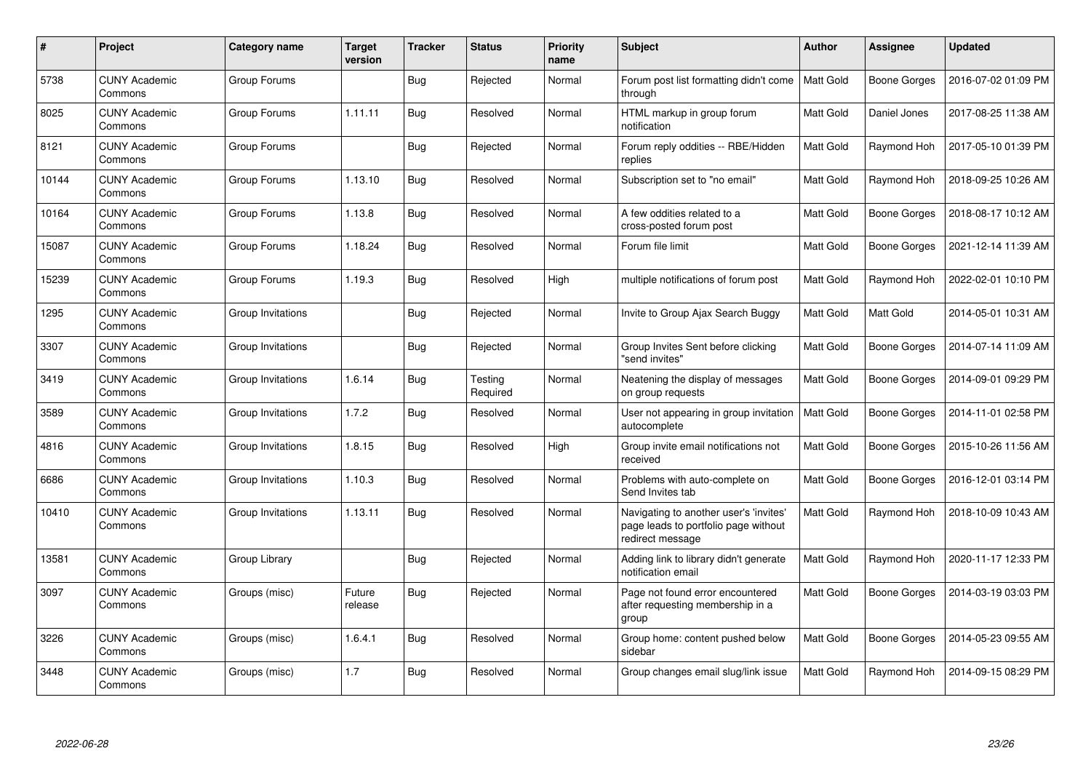| #     | Project                         | Category name     | <b>Target</b><br>version | <b>Tracker</b> | <b>Status</b>       | <b>Priority</b><br>name | <b>Subject</b>                                                                                     | <b>Author</b>    | Assignee            | <b>Updated</b>      |
|-------|---------------------------------|-------------------|--------------------------|----------------|---------------------|-------------------------|----------------------------------------------------------------------------------------------------|------------------|---------------------|---------------------|
| 5738  | <b>CUNY Academic</b><br>Commons | Group Forums      |                          | Bug            | Rejected            | Normal                  | Forum post list formatting didn't come<br>through                                                  | <b>Matt Gold</b> | <b>Boone Gorges</b> | 2016-07-02 01:09 PM |
| 8025  | <b>CUNY Academic</b><br>Commons | Group Forums      | 1.11.11                  | Bug            | Resolved            | Normal                  | HTML markup in group forum<br>notification                                                         | Matt Gold        | Daniel Jones        | 2017-08-25 11:38 AM |
| 8121  | <b>CUNY Academic</b><br>Commons | Group Forums      |                          | Bug            | Rejected            | Normal                  | Forum reply oddities -- RBE/Hidden<br>replies                                                      | Matt Gold        | Raymond Hoh         | 2017-05-10 01:39 PM |
| 10144 | <b>CUNY Academic</b><br>Commons | Group Forums      | 1.13.10                  | <b>Bug</b>     | Resolved            | Normal                  | Subscription set to "no email"                                                                     | Matt Gold        | Raymond Hoh         | 2018-09-25 10:26 AM |
| 10164 | <b>CUNY Academic</b><br>Commons | Group Forums      | 1.13.8                   | <b>Bug</b>     | Resolved            | Normal                  | A few oddities related to a<br>cross-posted forum post                                             | Matt Gold        | Boone Gorges        | 2018-08-17 10:12 AM |
| 15087 | <b>CUNY Academic</b><br>Commons | Group Forums      | 1.18.24                  | <b>Bug</b>     | Resolved            | Normal                  | Forum file limit                                                                                   | Matt Gold        | <b>Boone Gorges</b> | 2021-12-14 11:39 AM |
| 15239 | <b>CUNY Academic</b><br>Commons | Group Forums      | 1.19.3                   | Bug            | Resolved            | High                    | multiple notifications of forum post                                                               | Matt Gold        | Raymond Hoh         | 2022-02-01 10:10 PM |
| 1295  | <b>CUNY Academic</b><br>Commons | Group Invitations |                          | Bug            | Rejected            | Normal                  | Invite to Group Ajax Search Buggy                                                                  | Matt Gold        | Matt Gold           | 2014-05-01 10:31 AM |
| 3307  | <b>CUNY Academic</b><br>Commons | Group Invitations |                          | Bug            | Rejected            | Normal                  | Group Invites Sent before clicking<br>"send invites"                                               | Matt Gold        | Boone Gorges        | 2014-07-14 11:09 AM |
| 3419  | <b>CUNY Academic</b><br>Commons | Group Invitations | 1.6.14                   | <b>Bug</b>     | Testing<br>Required | Normal                  | Neatening the display of messages<br>on group requests                                             | Matt Gold        | <b>Boone Gorges</b> | 2014-09-01 09:29 PM |
| 3589  | <b>CUNY Academic</b><br>Commons | Group Invitations | 1.7.2                    | Bug            | Resolved            | Normal                  | User not appearing in group invitation<br>autocomplete                                             | Matt Gold        | <b>Boone Gorges</b> | 2014-11-01 02:58 PM |
| 4816  | <b>CUNY Academic</b><br>Commons | Group Invitations | 1.8.15                   | Bug            | Resolved            | High                    | Group invite email notifications not<br>received                                                   | Matt Gold        | <b>Boone Gorges</b> | 2015-10-26 11:56 AM |
| 6686  | CUNY Academic<br>Commons        | Group Invitations | 1.10.3                   | Bug            | Resolved            | Normal                  | Problems with auto-complete on<br>Send Invites tab                                                 | Matt Gold        | <b>Boone Gorges</b> | 2016-12-01 03:14 PM |
| 10410 | <b>CUNY Academic</b><br>Commons | Group Invitations | 1.13.11                  | Bug            | Resolved            | Normal                  | Navigating to another user's 'invites'<br>page leads to portfolio page without<br>redirect message | Matt Gold        | Raymond Hoh         | 2018-10-09 10:43 AM |
| 13581 | <b>CUNY Academic</b><br>Commons | Group Library     |                          | <b>Bug</b>     | Rejected            | Normal                  | Adding link to library didn't generate<br>notification email                                       | Matt Gold        | Raymond Hoh         | 2020-11-17 12:33 PM |
| 3097  | <b>CUNY Academic</b><br>Commons | Groups (misc)     | Future<br>release        | Bug            | Rejected            | Normal                  | Page not found error encountered<br>after requesting membership in a<br>group                      | Matt Gold        | <b>Boone Gorges</b> | 2014-03-19 03:03 PM |
| 3226  | <b>CUNY Academic</b><br>Commons | Groups (misc)     | 1.6.4.1                  | Bug            | Resolved            | Normal                  | Group home: content pushed below<br>sidebar                                                        | Matt Gold        | <b>Boone Gorges</b> | 2014-05-23 09:55 AM |
| 3448  | <b>CUNY Academic</b><br>Commons | Groups (misc)     | 1.7                      | Bug            | Resolved            | Normal                  | Group changes email slug/link issue                                                                | Matt Gold        | Raymond Hoh         | 2014-09-15 08:29 PM |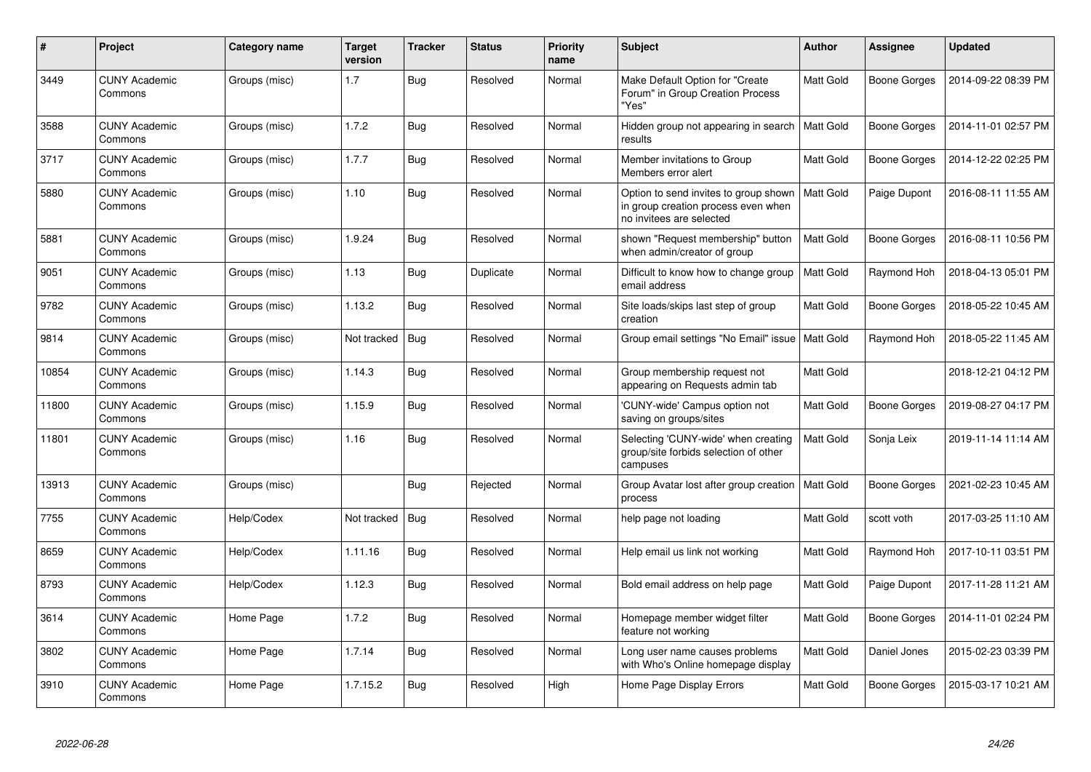| #     | Project                         | Category name | <b>Target</b><br>version | <b>Tracker</b> | <b>Status</b> | <b>Priority</b><br>name | <b>Subject</b>                                                                                           | <b>Author</b>    | Assignee     | Updated             |
|-------|---------------------------------|---------------|--------------------------|----------------|---------------|-------------------------|----------------------------------------------------------------------------------------------------------|------------------|--------------|---------------------|
| 3449  | <b>CUNY Academic</b><br>Commons | Groups (misc) | 1.7                      | Bug            | Resolved      | Normal                  | Make Default Option for "Create<br>Forum" in Group Creation Process<br>"Yes"                             | <b>Matt Gold</b> | Boone Gorges | 2014-09-22 08:39 PM |
| 3588  | <b>CUNY Academic</b><br>Commons | Groups (misc) | 1.7.2                    | Bug            | Resolved      | Normal                  | Hidden group not appearing in search<br>results                                                          | <b>Matt Gold</b> | Boone Gorges | 2014-11-01 02:57 PM |
| 3717  | <b>CUNY Academic</b><br>Commons | Groups (misc) | 1.7.7                    | Bug            | Resolved      | Normal                  | Member invitations to Group<br>Members error alert                                                       | <b>Matt Gold</b> | Boone Gorges | 2014-12-22 02:25 PM |
| 5880  | <b>CUNY Academic</b><br>Commons | Groups (misc) | 1.10                     | <b>Bug</b>     | Resolved      | Normal                  | Option to send invites to group shown<br>in group creation process even when<br>no invitees are selected | Matt Gold        | Paige Dupont | 2016-08-11 11:55 AM |
| 5881  | <b>CUNY Academic</b><br>Commons | Groups (misc) | 1.9.24                   | Bug            | Resolved      | Normal                  | shown "Request membership" button<br>when admin/creator of group                                         | <b>Matt Gold</b> | Boone Gorges | 2016-08-11 10:56 PM |
| 9051  | <b>CUNY Academic</b><br>Commons | Groups (misc) | 1.13                     | Bug            | Duplicate     | Normal                  | Difficult to know how to change group<br>email address                                                   | <b>Matt Gold</b> | Raymond Hoh  | 2018-04-13 05:01 PM |
| 9782  | <b>CUNY Academic</b><br>Commons | Groups (misc) | 1.13.2                   | Bug            | Resolved      | Normal                  | Site loads/skips last step of group<br>creation                                                          | <b>Matt Gold</b> | Boone Gorges | 2018-05-22 10:45 AM |
| 9814  | <b>CUNY Academic</b><br>Commons | Groups (misc) | Not tracked              | Bug            | Resolved      | Normal                  | Group email settings "No Email" issue   Matt Gold                                                        |                  | Raymond Hoh  | 2018-05-22 11:45 AM |
| 10854 | <b>CUNY Academic</b><br>Commons | Groups (misc) | 1.14.3                   | <b>Bug</b>     | Resolved      | Normal                  | Group membership request not<br>appearing on Requests admin tab                                          | Matt Gold        |              | 2018-12-21 04:12 PM |
| 11800 | <b>CUNY Academic</b><br>Commons | Groups (misc) | 1.15.9                   | <b>Bug</b>     | Resolved      | Normal                  | 'CUNY-wide' Campus option not<br>saving on groups/sites                                                  | <b>Matt Gold</b> | Boone Gorges | 2019-08-27 04:17 PM |
| 11801 | <b>CUNY Academic</b><br>Commons | Groups (misc) | 1.16                     | Bug            | Resolved      | Normal                  | Selecting 'CUNY-wide' when creating<br>group/site forbids selection of other<br>campuses                 | Matt Gold        | Sonja Leix   | 2019-11-14 11:14 AM |
| 13913 | <b>CUNY Academic</b><br>Commons | Groups (misc) |                          | Bug            | Rejected      | Normal                  | Group Avatar lost after group creation<br>process                                                        | <b>Matt Gold</b> | Boone Gorges | 2021-02-23 10:45 AM |
| 7755  | <b>CUNY Academic</b><br>Commons | Help/Codex    | Not tracked              | <b>Bug</b>     | Resolved      | Normal                  | help page not loading                                                                                    | <b>Matt Gold</b> | scott voth   | 2017-03-25 11:10 AM |
| 8659  | <b>CUNY Academic</b><br>Commons | Help/Codex    | 1.11.16                  | Bug            | Resolved      | Normal                  | Help email us link not working                                                                           | Matt Gold        | Raymond Hoh  | 2017-10-11 03:51 PM |
| 8793  | <b>CUNY Academic</b><br>Commons | Help/Codex    | 1.12.3                   | <b>Bug</b>     | Resolved      | Normal                  | Bold email address on help page                                                                          | Matt Gold        | Paige Dupont | 2017-11-28 11:21 AM |
| 3614  | <b>CUNY Academic</b><br>Commons | Home Page     | 1.7.2                    | Bug            | Resolved      | Normal                  | Homepage member widget filter<br>feature not working                                                     | <b>Matt Gold</b> | Boone Gorges | 2014-11-01 02:24 PM |
| 3802  | <b>CUNY Academic</b><br>Commons | Home Page     | 1.7.14                   | <b>Bug</b>     | Resolved      | Normal                  | Long user name causes problems<br>with Who's Online homepage display                                     | Matt Gold        | Daniel Jones | 2015-02-23 03:39 PM |
| 3910  | <b>CUNY Academic</b><br>Commons | Home Page     | 1.7.15.2                 | <b>Bug</b>     | Resolved      | High                    | Home Page Display Errors                                                                                 | <b>Matt Gold</b> | Boone Gorges | 2015-03-17 10:21 AM |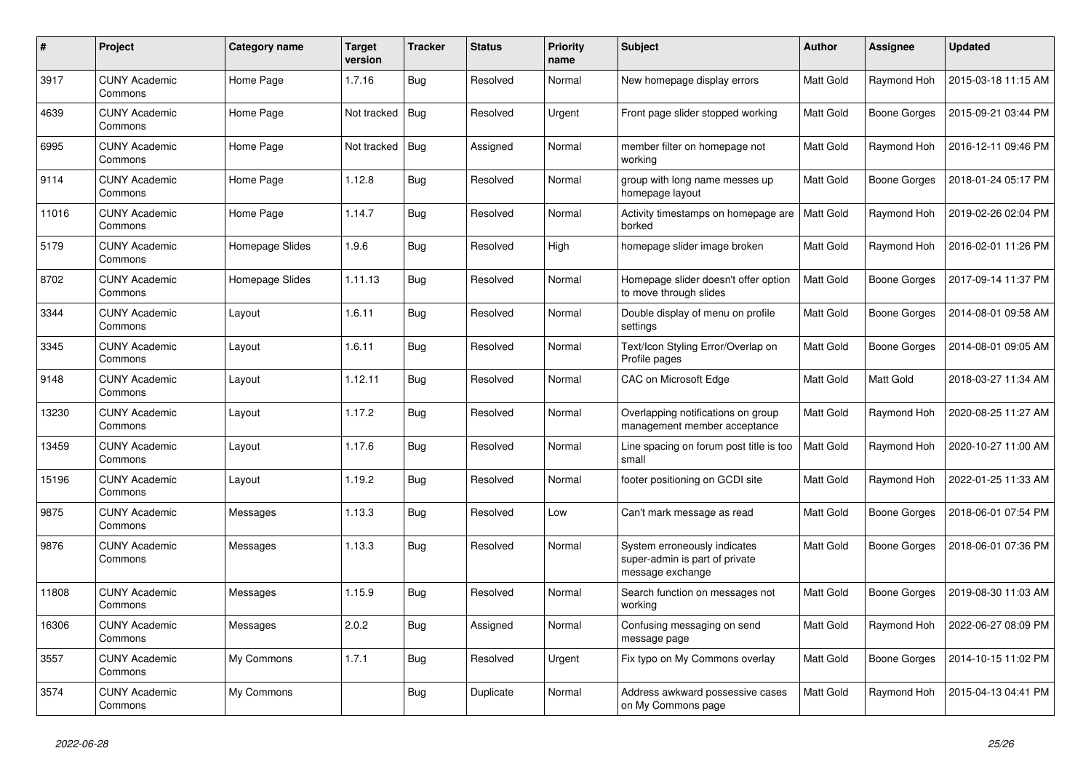| $\#$  | Project                         | Category name   | <b>Target</b><br>version | <b>Tracker</b> | <b>Status</b> | <b>Priority</b><br>name | <b>Subject</b>                                                                     | <b>Author</b> | Assignee            | <b>Updated</b>      |
|-------|---------------------------------|-----------------|--------------------------|----------------|---------------|-------------------------|------------------------------------------------------------------------------------|---------------|---------------------|---------------------|
| 3917  | <b>CUNY Academic</b><br>Commons | Home Page       | 1.7.16                   | Bug            | Resolved      | Normal                  | New homepage display errors                                                        | Matt Gold     | Raymond Hoh         | 2015-03-18 11:15 AM |
| 4639  | <b>CUNY Academic</b><br>Commons | Home Page       | Not tracked              | <b>Bug</b>     | Resolved      | Urgent                  | Front page slider stopped working                                                  | Matt Gold     | <b>Boone Gorges</b> | 2015-09-21 03:44 PM |
| 6995  | <b>CUNY Academic</b><br>Commons | Home Page       | Not tracked              | Bug            | Assigned      | Normal                  | member filter on homepage not<br>working                                           | Matt Gold     | Raymond Hoh         | 2016-12-11 09:46 PM |
| 9114  | <b>CUNY Academic</b><br>Commons | Home Page       | 1.12.8                   | <b>Bug</b>     | Resolved      | Normal                  | group with long name messes up<br>homepage layout                                  | Matt Gold     | Boone Gorges        | 2018-01-24 05:17 PM |
| 11016 | <b>CUNY Academic</b><br>Commons | Home Page       | 1.14.7                   | Bug            | Resolved      | Normal                  | Activity timestamps on homepage are<br>borked                                      | Matt Gold     | Raymond Hoh         | 2019-02-26 02:04 PM |
| 5179  | <b>CUNY Academic</b><br>Commons | Homepage Slides | 1.9.6                    | <b>Bug</b>     | Resolved      | High                    | homepage slider image broken                                                       | Matt Gold     | Raymond Hoh         | 2016-02-01 11:26 PM |
| 8702  | <b>CUNY Academic</b><br>Commons | Homepage Slides | 1.11.13                  | Bug            | Resolved      | Normal                  | Homepage slider doesn't offer option<br>to move through slides                     | Matt Gold     | Boone Gorges        | 2017-09-14 11:37 PM |
| 3344  | <b>CUNY Academic</b><br>Commons | Layout          | 1.6.11                   | Bug            | Resolved      | Normal                  | Double display of menu on profile<br>settings                                      | Matt Gold     | Boone Gorges        | 2014-08-01 09:58 AM |
| 3345  | <b>CUNY Academic</b><br>Commons | Layout          | 1.6.11                   | <b>Bug</b>     | Resolved      | Normal                  | Text/Icon Styling Error/Overlap on<br>Profile pages                                | Matt Gold     | <b>Boone Gorges</b> | 2014-08-01 09:05 AM |
| 9148  | <b>CUNY Academic</b><br>Commons | Layout          | 1.12.11                  | Bug            | Resolved      | Normal                  | CAC on Microsoft Edge                                                              | Matt Gold     | Matt Gold           | 2018-03-27 11:34 AM |
| 13230 | <b>CUNY Academic</b><br>Commons | Layout          | 1.17.2                   | <b>Bug</b>     | Resolved      | Normal                  | Overlapping notifications on group<br>management member acceptance                 | Matt Gold     | Raymond Hoh         | 2020-08-25 11:27 AM |
| 13459 | <b>CUNY Academic</b><br>Commons | Layout          | 1.17.6                   | Bug            | Resolved      | Normal                  | Line spacing on forum post title is too<br>small                                   | Matt Gold     | Raymond Hoh         | 2020-10-27 11:00 AM |
| 15196 | <b>CUNY Academic</b><br>Commons | Layout          | 1.19.2                   | <b>Bug</b>     | Resolved      | Normal                  | footer positioning on GCDI site                                                    | Matt Gold     | Raymond Hoh         | 2022-01-25 11:33 AM |
| 9875  | <b>CUNY Academic</b><br>Commons | Messages        | 1.13.3                   | Bug            | Resolved      | Low                     | Can't mark message as read                                                         | Matt Gold     | <b>Boone Gorges</b> | 2018-06-01 07:54 PM |
| 9876  | <b>CUNY Academic</b><br>Commons | Messages        | 1.13.3                   | Bug            | Resolved      | Normal                  | System erroneously indicates<br>super-admin is part of private<br>message exchange | Matt Gold     | <b>Boone Gorges</b> | 2018-06-01 07:36 PM |
| 11808 | <b>CUNY Academic</b><br>Commons | Messages        | 1.15.9                   | Bug            | Resolved      | Normal                  | Search function on messages not<br>working                                         | Matt Gold     | Boone Gorges        | 2019-08-30 11:03 AM |
| 16306 | <b>CUNY Academic</b><br>Commons | Messages        | 2.0.2                    | <b>Bug</b>     | Assigned      | Normal                  | Confusing messaging on send<br>message page                                        | Matt Gold     | Raymond Hoh         | 2022-06-27 08:09 PM |
| 3557  | <b>CUNY Academic</b><br>Commons | My Commons      | 1.7.1                    | Bug            | Resolved      | Urgent                  | Fix typo on My Commons overlay                                                     | Matt Gold     | <b>Boone Gorges</b> | 2014-10-15 11:02 PM |
| 3574  | <b>CUNY Academic</b><br>Commons | My Commons      |                          | Bug            | Duplicate     | Normal                  | Address awkward possessive cases<br>on My Commons page                             | Matt Gold     | Raymond Hoh         | 2015-04-13 04:41 PM |